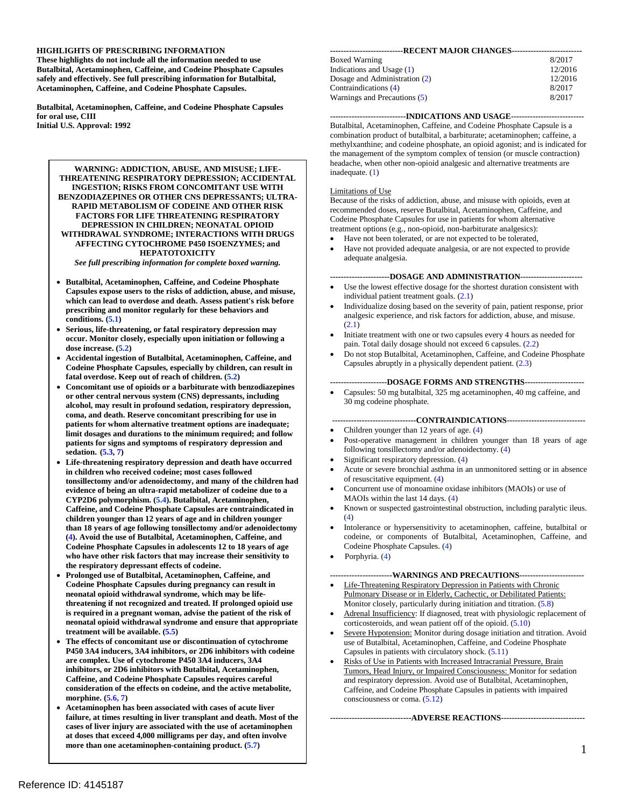#### **HIGHLIGHTS OF PRESCRIBING INFORMATION**

**Acetaminophen, Caffeine, and Codeine Phosphate Capsules. These highlights do not include all the information needed to use Butalbital, Acetaminophen, Caffeine, and Codeine Phosphate Capsules safely and effectively. See full prescribing information for Butalbital,** 

**Acetaminophen, Caffeine, and Codeine Phosphate Capsules. Butalbital, Acetaminophen, Caffeine, and Codeine Phosphate Capsules for oral use, CIII Initial U.S. Approval: 1992** 

#### **HEPATOTOXICITY WARNING: ADDICTION, ABUSE, AND MISUSE; LIFE-THREATENING RESPIRATORY DEPRESSION; ACCIDENTAL INGESTION; RISKS FROM CONCOMITANT USE WITH BENZODIAZEPINES OR OTHER CNS DEPRESSANTS; ULTRA-RAPID METABOLISM OF CODEINE AND OTHER RISK FACTORS FOR LIFE THREATENING RESPIRATORY DEPRESSION IN CHILDREN; NEONATAL OPIOID WITHDRAWAL SYNDROME; INTERACTIONS WITH DRUGS AFFECTING CYTOCHROME P450 ISOENZYMES; and**

*See full prescribing information for complete boxed warning.* 

- **Capsules expose users to the risks of addiction, abuse, and misuse, which can lead to overdose and death. Assess patient's risk before conditions. (5.1)**  • **Butalbital, Acetaminophen, Caffeine, and Codeine Phosphate prescribing and monitor regularly for these behaviors and**
- **occur. Monitor closely, especially upon initiation or following a dose increase. (5.2)**  • **Serious, life-threatening, or fatal respiratory depression may**
- **Codeine Phosphate Capsules, especially by children, can result in fatal overdose. Keep out of reach of children. (5.2)**  • **Accidental ingestion of Butalbital, Acetaminophen, Caffeine, and**
- • **Concomitant use of opioids or a barbiturate with benzodiazepines patients for signs and symptoms of respiratory depression and or other central nervous system (CNS) depressants, including alcohol, may result in profound sedation, respiratory depression, coma, and death. Reserve concomitant prescribing for use in patients for whom alternative treatment options are inadequate; limit dosages and durations to the minimum required; and follow sedation. (5.3, 7)**
- **in children who received codeine; most cases followed tonsillectomy and/or adenoidectomy, and many of the children had evidence of being an ultra-rapid metabolizer of codeine due to a children younger than 12 years of age and in children younger than 18 years of age following tonsillectomy and/or adenoidectomy Codeine Phosphate Capsules in adolescents 12 to 18 years of age**  Life-threatening respiratory depression and death have occurred **CYP2D6 polymorphism. (5.4). Butalbital, Acetaminophen, Caffeine, and Codeine Phosphate Capsules are contraindicated in (4). Avoid the use of Butalbital, Acetaminophen, Caffeine, and who have other risk factors that may increase their sensitivity to the respiratory depressant effects of codeine.**
- **is required in a pregnant woman, advise the patient of the risk of**  Prolonged use of Butalbital, Acetaminophen, Caffeine, and **Codeine Phosphate Capsules during pregnancy can result in neonatal opioid withdrawal syndrome, which may be lifethreatening if not recognized and treated. If prolonged opioid use neonatal opioid withdrawal syndrome and ensure that appropriate treatment will be available. (5.5)**
- • **The effects of concomitant use or discontinuation of cytochrome are complex. Use of cytochrome P450 3A4 inducers, 3A4 inhibitors, or 2D6 inhibitors with Butalbital, Acetaminophen, morphine. (5.6, 7) P450 3A4 inducers, 3A4 inhibitors, or 2D6 inhibitors with codeine Caffeine, and Codeine Phosphate Capsules requires careful consideration of the effects on codeine, and the active metabolite,**
- • **Acetaminophen has been associated with cases of acute liver failure, at times resulting in liver transplant and death. Most of the cases of liver injury are associated with the use of acetaminophen more than one acetaminophen-containing product. (5.7) at doses that exceed 4,000 milligrams per day, and often involve**

| ---------------------------RECENT MAJOR CHANGES-------------------------- |         |  |
|---------------------------------------------------------------------------|---------|--|
| <b>Boxed Warning</b>                                                      | 8/2017  |  |
| Indications and Usage $(1)$                                               | 12/2016 |  |
| Dosage and Administration (2)                                             | 12/2016 |  |
| Contraindications (4)                                                     | 8/2017  |  |
| Warnings and Precautions (5)                                              | 8/2017  |  |

 combination product of butalbital, a barbiturate; acetaminophen; caffeine, a methylxanthine; and codeine phosphate, an opioid agonist; and is indicated for inadequate. (1) **----------------------------INDICATIONS AND USAGE---------------------------** Butalbital, Acetaminophen, Caffeine, and Codeine Phosphate Capsule is a the management of the symptom complex of tension (or muscle contraction) headache, when other non-opioid analgesic and alternative treatments are

#### Limitations of Use

 treatment options (e.g., non-opioid, non-barbiturate analgesics): Because of the risks of addiction, abuse, and misuse with opioids, even at recommended doses, reserve Butalbital, Acetaminophen, Caffeine, and Codeine Phosphate Capsules for use in patients for whom alternative

- Have not been tolerated, or are not expected to be tolerated,
- adequate analgesia. Have not provided adequate analgesia, or are not expected to provide

#### **----------------------DOSAGE AND ADMINISTRATION----------------------**

- individual patient treatment goals. (2.1) Use the lowest effective dosage for the shortest duration consistent with
- • Individualize dosing based on the severity of pain, patient response, prior analgesic experience, and risk factors for addiction, abuse, and misuse. (2.1)
- • Initiate treatment with one or two capsules every 4 hours as needed for pain. Total daily dosage should not exceed 6 capsules. (2.2)
- Capsules abruptly in a physically dependent patient. (2.3) Do not stop Butalbital, Acetaminophen, Caffeine, and Codeine Phosphate

#### **---------------------DOSAGE FORMS AND STRENGTHS---------------------**

Capsules: 50 mg butalbital, 325 mg acetaminophen, 40 mg caffeine, and 30 mg codeine phosphate.

#### **-------------------------------CONTRAINDICATIONS----------------------------**

- Children younger than 12 years of age. (4)
- • Post-operative management in children younger than 18 years of age following tonsillectomy and/or adenoidectomy. (4)
- Significant respiratory depression. (4)
- • Acute or severe bronchial asthma in an unmonitored setting or in absence of resuscitative equipment. (4)
- MAOIs within the last 14 days. (4) Concurrent use of monoamine oxidase inhibitors (MAOIs) or use of
- • Known or suspected gastrointestinal obstruction, including paralytic ileus. (4)
- Codeine Phosphate Capsules. (4) Intolerance or hypersensitivity to acetaminophen, caffeine, butalbital or codeine, or components of Butalbital, Acetaminophen, Caffeine, and
- Porphyria. (4)

#### **-----------------------WARNINGS AND PRECAUTIONS-----------------------**

- Monitor closely, particularly during initiation and titration. (5.8) Life-Threatening Respiratory Depression in Patients with Chronic Pulmonary Disease or in Elderly, Cachectic, or Debilitated Patients:
- corticosteroids, and wean patient off of the opioid. (5.10) Adrenal Insufficiency: If diagnosed, treat with physiologic replacement of
- Severe Hypotension: Monitor during dosage initiation and titration. Avoid use of Butalbital, Acetaminophen, Caffeine, and Codeine Phosphate Capsules in patients with circulatory shock. (5.11)
- Risks of Use in Patients with Increased Intracranial Pressure, Brain Tumors, Head Injury, or Impaired Consciousness: Monitor for sedation and respiratory depression. Avoid use of Butalbital, Acetaminophen, Caffeine, and Codeine Phosphate Capsules in patients with impaired consciousness or coma. (5.12)

**------------------------------ADVERSE REACTIONS------------------------------**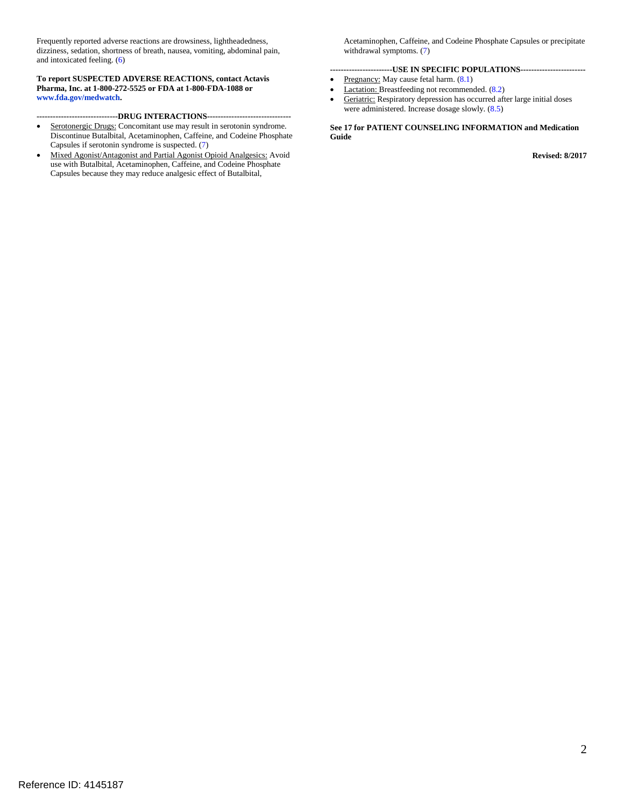and intoxicated feeling. (6) Frequently reported adverse reactions are drowsiness, lightheadedness, dizziness, sedation, shortness of breath, nausea, vomiting, abdominal pain,

**To report SUSPECTED ADVERSE REACTIONS, contact Actavis Pharma, Inc. at 1-800-272-5525 or FDA at 1-800-FDA-1088 or www.fda.gov/medwatch.** 

**------------------------------DRUG INTERACTIONS------------------------------**

- Serotonergic Drugs: Concomitant use may result in serotonin syndrome. Discontinue Butalbital, Acetaminophen, Caffeine, and Codeine Phosphate Capsules if serotonin syndrome is suspected. (7)
- Mixed Agonist/Antagonist and Partial Agonist Opioid Analgesics: Avoid use with Butalbital, Acetaminophen, Caffeine, and Codeine Phosphate Capsules because they may reduce analgesic effect of Butalbital,

Acetaminophen, Caffeine, and Codeine Phosphate Capsules or precipitate withdrawal symptoms. (7)

#### **-----------------------USE IN SPECIFIC POPULATIONS-----------------------**

- Pregnancy: May cause fetal harm.  $(8.1)$
- Lactation: Breastfeeding not recommended. (8.2)
- Geriatric: Respiratory depression has occurred after large initial doses were administered. Increase dosage slowly. (8.5)

 **See 17 for PATIENT COUNSELING INFORMATION and Medication Guide** 

**Revised: 8/2017**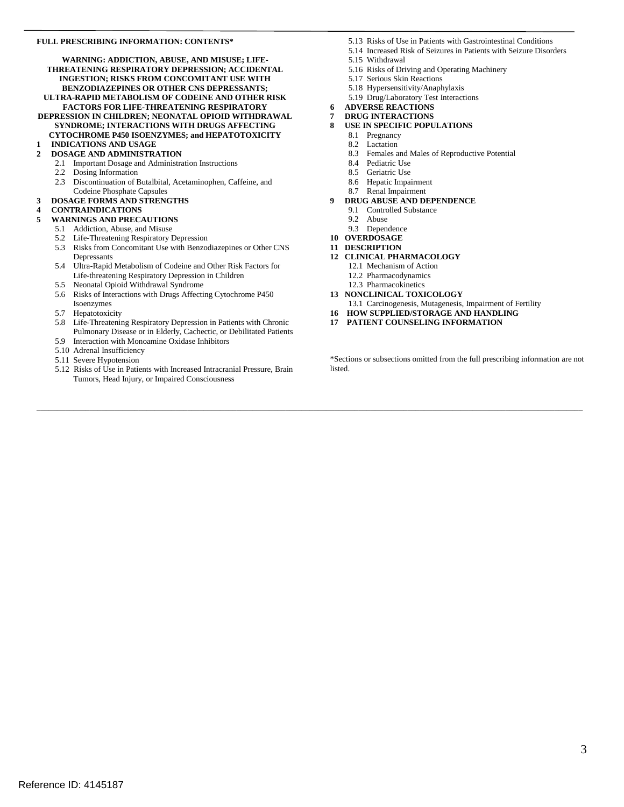#### **FULL PRESCRIBING INFORMATION: CONTENTS\***

**WARNING: ADDICTION, ABUSE, AND MISUSE; LIFE-THREATENING RESPIRATORY DEPRESSION; ACCIDENTAL INGESTION; RISKS FROM CONCOMITANT USE WITH BENZODIAZEPINES OR OTHER CNS DEPRESSANTS; ULTRA-RAPID METABOLISM OF CODEINE AND OTHER RISK FACTORS FOR LIFE-THREATENING RESPIRATORY DEPRESSION IN CHILDREN; NEONATAL OPIOID WITHDRAWAL**

**SYNDROME; INTERACTIONS WITH DRUGS AFFECTING CYTOCHROME P450 ISOENZYMES; and HEPATOTOXICITY** 

#### **[1 INDICATIONS AND USAGE](#page-3-0)**

#### **[2 DOSAGE AND ADMINISTRATION](#page-3-1)**

- [2.1](#page-4-0) Important Dosage and Administration Instructions
- 2.2 Dosing Information
- 2.3 Discontinuation of Butalbital, Acetaminophen, Caffeine, and Codeine Phosphate Capsules

#### **[3 DOSAGE FORMS AND STRENGTHS](#page-4-1)**

#### **[4 CONTRAINDICATIONS](#page-4-2)**

- **[5 WARNINGS AND PRECAUTIONS](#page-5-0)** 
	- 5.1 [Addiction, Abuse, and Misuse](#page-5-1)
	- 5.2 Life-Threatening Respiratory Depression
	- 5.3 Risks from Concomitant Use with Benzodiazepines or Other CNS Depressants
	- Life-threatening Respiratory Depression in Children 5.4 Ultra-Rapid Metabolism of Codeine and Other Risk Factors for
	- 5.5 Neonatal Opioid Withdrawal Syndrome
	- 5.6 Risks of Interactions with Drugs Affecting Cytochrome P450
	- Isoenzymes
	- 5.7 Hepatotoxicity
	- 5.8 Life-Threatening Respiratory Depression in Patients with Chronic Pulmonary Disease or in Elderly, Cachectic, or Debilitated Patients
	- 5.9 Interaction with Monoamine Oxidase Inhibitors
	- 5.10 Adrenal Insufficiency
	- 5.11 Severe Hypotension
	- 5.12 Risks of Use in Patients with Increased Intracranial Pressure, Brain Tumors, Head Injury, or Impaired Consciousness
- 5.13 Risks of Use in Patients with Gastrointestinal Conditions
- 5.14 Increased Risk of Seizures in Patients with Seizure Disorders
- 5.15 Withdrawal
- 5.16 Risks of Driving and Operating Machinery
- 5.17 Serious Skin Reactions
- 5.18 Hypersensitivity/Anaphylaxis
- 5.19 Drug/Laboratory Test Interactions
- **6 ADVERSE REACTIONS**
- **[7 DRUG INTERACTIONS](#page-15-0)**
- **[8 USE IN SPECIFIC POPULATIONS](#page-18-0)** 
	- 8.1 [Pregnancy](#page-18-1)
	- $\frac{8.2}{8.3}$ **Lactation** 
		- Females and Males of Reproductive Potential
	- $\begin{array}{c} 8.4 \\ 8.5 \end{array}$ Pediatric Use
	- Geriatric Use
	- 8.6 Hepatic Impairment<br>8.7 Renal Impairment
	- Renal Impairment
- **[9 DRUG ABUSE AND DEPENDENCE](#page-24-0)** 
	- 9.1 [Controlled Substance](#page-24-1)
	- 9.2 [Abuse](#page-24-2)
	- 9.3 [Dependence](#page-25-0)
- **[10 OVERDOSAGE](#page-26-0)**
- **[11 DESCRIPTION](#page-27-0)**

\_\_\_\_\_\_\_\_\_\_\_\_\_\_\_\_\_\_\_\_\_\_\_\_\_\_\_\_\_\_\_\_\_\_\_\_\_\_\_\_\_\_\_\_\_\_\_\_\_\_\_\_\_\_\_\_\_\_\_\_\_\_\_\_\_\_\_\_\_\_\_\_\_\_\_\_\_\_\_\_\_\_\_\_\_\_\_\_\_\_\_\_\_\_\_\_\_\_\_\_\_\_\_\_\_\_\_\_\_\_\_\_\_\_\_\_\_\_\_\_\_\_\_\_\_\_\_\_\_\_\_\_\_\_

- **[12 CLINICAL PHARMACOLOGY](#page-28-0)** 
	- [12.1 Mechanism of Action](#page-29-0)
	- [12.2 Pharmacodynamics](#page-29-1)
	- [12.3 Pharmacokinetics](#page-30-0)
- **[13 NONCLINICAL TOXICOLOGY](#page-33-0)**
- [13.1 Carcinogenesis, Mutagenesis, Impairment of Fertility](#page-33-1)
- **[16 HOW SUPPLIED/STORAGE AND HANDLING](#page-34-0)**
- **[17 PATIENT COUNSELING INFORMATION](#page-35-0)**

 \*Sections or subsections omitted from the full prescribing information are not listed.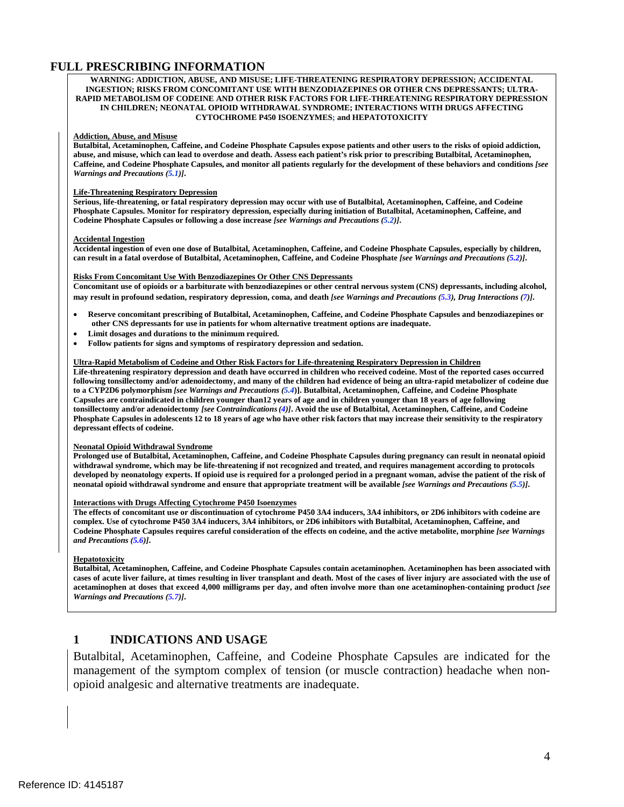### **FULL PRESCRIBING INFORMATION**

#### <span id="page-3-0"></span>**WARNING: ADDICTION, ABUSE, AND MISUSE; LIFE-THREATENING RESPIRATORY DEPRESSION; ACCIDENTAL INGESTION; RISKS FROM CONCOMITANT USE WITH BENZODIAZEPINES OR OTHER CNS DEPRESSANTS; ULTRA-RAPID METABOLISM OF CODEINE AND OTHER RISK FACTORS FOR LIFE-THREATENING RESPIRATORY DEPRESSION IN CHILDREN; NEONATAL OPIOID WITHDRAWAL SYNDROME; INTERACTIONS WITH DRUGS AFFECTING CYTOCHROME P450 ISOENZYMES; and HEPATOTOXICITY**

#### **Addiction, Abuse, and Misuse**

 **abuse, and misuse, which can lead to overdose and death. Assess each patient's risk prior to prescribing Butalbital, Acetaminophen, Butalbital, Acetaminophen, Caffeine, and Codeine Phosphate Capsules expose patients and other users to the risks of opioid addiction, Caffeine, and Codeine Phosphate Capsules, and monitor all patients regularly for the development of these behaviors and conditions** *[see Warnings and Precautions (5.1)]***.**

#### **Life-Threatening Respiratory Depression**

 **Serious, life-threatening, or fatal respiratory depression may occur with use of Butalbital, Acetaminophen, Caffeine, and Codeine Phosphate Capsules. Monitor for respiratory depression, especially during initiation of Butalbital, Acetaminophen, Caffeine, and Codeine Phosphate Capsules or following a dose increase** *[see Warnings and Precautions (5.2)]***.** 

#### **Accidental Ingestion**

 **Accidental ingestion of even one dose of Butalbital, Acetaminophen, Caffeine, and Codeine Phosphate Capsules, especially by children, can result in a fatal overdose of Butalbital, Acetaminophen, Caffeine, and Codeine Phosphate** *[see Warnings and Precautions (5.2)]***.**

#### **Risks From Concomitant Use With Benzodiazepines Or Other CNS Depressants**

 **Concomitant use of opioids or a barbiturate with benzodiazepines or other central nervous system (CNS) depressants, including alcohol, may result in profound sedation, respiratory depression, coma, and death** *[see Warnings and Precautions (5.3), Drug Interactions (7)]***.** 

- • **Reserve concomitant prescribing of Butalbital, Acetaminophen, Caffeine, and Codeine Phosphate Capsules and benzodiazepines or other CNS depressants for use in patients for whom alternative treatment options are inadequate.**
- **Limit dosages and durations to the minimum required.**
- **Follow patients for signs and symptoms of respiratory depression and sedation.**

#### **Ultra-Rapid Metabolism of Codeine and Other Risk Factors for Life-threatening Respiratory Depression in Children**

 **Life-threatening respiratory depression and death have occurred in children who received codeine. Most of the reported cases occurred following tonsillectomy and/or adenoidectomy, and many of the children had evidence of being an ultra-rapid metabolizer of codeine due tonsillectomy and/or adenoidectomy** *[see Contraindications (4)]***. Avoid the use of Butalbital, Acetaminophen, Caffeine, and Codeine Phosphate Capsules in adolescents 12 to 18 years of age who have other risk factors that may increase their sensitivity to the respiratory depressant effects of codeine. to a CYP2D6 polymorphism** *[see Warnings and Precautions (5.4***)]. Butalbital, Acetaminophen, Caffeine, and Codeine Phosphate Capsules are contraindicated in children younger than12 years of age and in children younger than 18 years of age following** 

#### **Neonatal Opioid Withdrawal Syndrome**

 **Prolonged use of Butalbital, Acetaminophen, Caffeine, and Codeine Phosphate Capsules during pregnancy can result in neonatal opioid developed by neonatology experts. If opioid use is required for a prolonged period in a pregnant woman, advise the patient of the risk of withdrawal syndrome, which may be life-threatening if not recognized and treated, and requires management according to protocols neonatal opioid withdrawal syndrome and ensure that appropriate treatment will be available** *[see Warnings and Precautions (5.5)]***.** 

#### **Interactions with Drugs Affecting Cytochrome P450 Isoenzymes**

 **The effects of concomitant use or discontinuation of cytochrome P450 3A4 inducers, 3A4 inhibitors, or 2D6 inhibitors with codeine are complex. Use of cytochrome P450 3A4 inducers, 3A4 inhibitors, or 2D6 inhibitors with Butalbital, Acetaminophen, Caffeine, and Codeine Phosphate Capsules requires careful consideration of the effects on codeine, and the active metabolite, morphine** *[see Warnings and Precautions (5.6)]***.** 

#### **Hepatotoxicity**

**Butalbital, Acetaminophen, Caffeine, and Codeine Phosphate Capsules contain acetaminophen. Acetaminophen has been associated with cases of acute liver failure, at times resulting in liver transplant and death. Most of the cases of liver injury are associated with the use of acetaminophen at doses that exceed 4,000 milligrams per day, and often involve more than one acetaminophen-containing product** *[see Warnings and Precautions (5.7)]***.** 

#### **1 INDICATIONS AND USAGE**

<span id="page-3-1"></span> Butalbital, Acetaminophen, Caffeine, and Codeine Phosphate Capsules are indicated for the management of the symptom complex of tension (or muscle contraction) headache when nonopioid analgesic and alternative treatments are inadequate.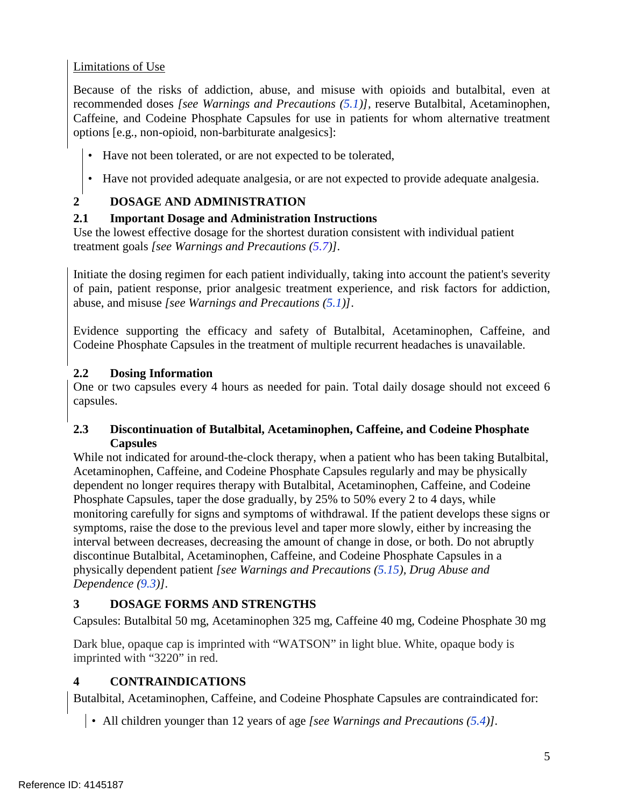# Limitations of Use

 options [e.g., non-opioid, non-barbiturate analgesics]: Because of the risks of addiction, abuse, and misuse with opioids and butalbital, even at recommended doses *[see Warnings and Precautions (5.1)],* reserve Butalbital, Acetaminophen, Caffeine, and Codeine Phosphate Capsules for use in patients for whom alternative treatment

- Have not been tolerated, or are not expected to be tolerated,
- Have not provided adequate analgesia, or are not expected to provide adequate analgesia.

# **2 DOSAGE AND ADMINISTRATION**

# <span id="page-4-0"></span>**2.1 Important Dosage and Administration Instructions**

Use the lowest effective dosage for the shortest duration consistent with individual patient treatment goals *[see Warnings and Precautions (5.7)].* 

Initiate the dosing regimen for each patient individually, taking into account the patient's severity of pain, patient response, prior analgesic treatment experience, and risk factors for addiction, abuse, and misuse *[see Warnings and Precautions (5.1)]*.

 Evidence supporting the efficacy and safety of Butalbital, Acetaminophen, Caffeine, and Codeine Phosphate Capsules in the treatment of multiple recurrent headaches is unavailable.

# **2.2 Dosing Information**

 capsules. One or two capsules every 4 hours as needed for pain. Total daily dosage should not exceed 6

# **2.3 Discontinuation of Butalbital, Acetaminophen, Caffeine, and Codeine Phosphate Capsules**

 dependent no longer requires therapy with Butalbital, Acetaminophen, Caffeine, and Codeine interval between decreases, decreasing the amount of change in dose, or both. Do not abruptly discontinue Butalbital, Acetaminophen, Caffeine, and Codeine Phosphate Capsules in a While not indicated for around-the-clock therapy, when a patient who has been taking Butalbital, Acetaminophen, Caffeine, and Codeine Phosphate Capsules regularly and may be physically Phosphate Capsules, taper the dose gradually, by 25% to 50% every 2 to 4 days, while monitoring carefully for signs and symptoms of withdrawal. If the patient develops these signs or symptoms, raise the dose to the previous level and taper more slowly, either by increasing the physically dependent patient *[see Warnings and Precautions (5.15), Drug Abuse and Dependence (9.3)].* 

# <span id="page-4-1"></span>**3 DOSAGE FORMS AND STRENGTHS**

Capsules: Butalbital 50 mg, Acetaminophen 325 mg, Caffeine 40 mg, Codeine Phosphate 30 mg

Dark blue, opaque cap is imprinted with "WATSON" in light blue. White, opaque body is imprinted with "3220" in red.

# <span id="page-4-2"></span>**4 CONTRAINDICATIONS**

Butalbital, Acetaminophen, Caffeine, and Codeine Phosphate Capsules are contraindicated for:

• All children younger than 12 years of age *[see Warnings and Precautions (5.4)].*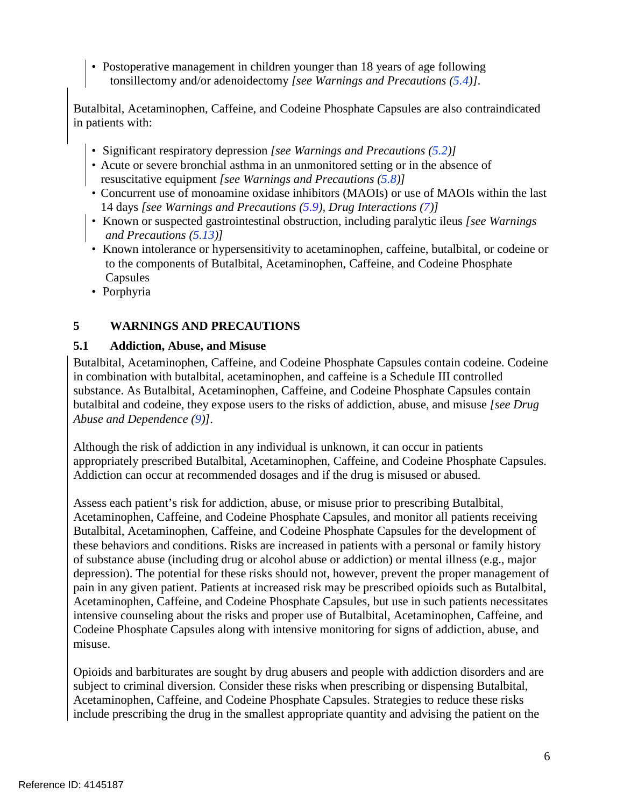• Postoperative management in children younger than 18 years of age following tonsillectomy and/or adenoidectomy *[see Warnings and Precautions (5.4)].*

 Butalbital, Acetaminophen, Caffeine, and Codeine Phosphate Capsules are also contraindicated in patients with:

- Significant respiratory depression *[see Warnings and Precautions (5.2)]*
- • Acute or severe bronchial asthma in an unmonitored setting or in the absence of resuscitative equipment *[see Warnings and Precautions (5.8)]*
- 14 days *[see Warnings and Precautions (5.9), Drug Interactions (7)]*  • Concurrent use of monoamine oxidase inhibitors (MAOIs) or use of MAOIs within the last
- Known or suspected gastrointestinal obstruction, including paralytic ileus *[see Warnings and Precautions (5.13)]*
- Known intolerance or hypersensitivity to acetaminophen, caffeine, butalbital, or codeine or to the components of Butalbital, Acetaminophen, Caffeine, and Codeine Phosphate Capsules
- Porphyria

# <span id="page-5-0"></span>**5 WARNINGS AND PRECAUTIONS**

# <span id="page-5-1"></span>**5.1 Addiction, Abuse, and Misuse**

Butalbital, Acetaminophen, Caffeine, and Codeine Phosphate Capsules contain codeine. Codeine in combination with butalbital, acetaminophen, and caffeine is a Schedule III controlled substance. As Butalbital, Acetaminophen, Caffeine, and Codeine Phosphate Capsules contain butalbital and codeine, they expose users to the risks of addiction, abuse, and misuse *[see Drug Abuse and Dependence (9)].* 

Although the risk of addiction in any individual is unknown, it can occur in patients appropriately prescribed Butalbital, Acetaminophen, Caffeine, and Codeine Phosphate Capsules. Addiction can occur at recommended dosages and if the drug is misused or abused.

 these behaviors and conditions. Risks are increased in patients with a personal or family history pain in any given patient. Patients at increased risk may be prescribed opioids such as Butalbital, Codeine Phosphate Capsules along with intensive monitoring for signs of addiction, abuse, and Assess each patient's risk for addiction, abuse, or misuse prior to prescribing Butalbital, Acetaminophen, Caffeine, and Codeine Phosphate Capsules, and monitor all patients receiving Butalbital, Acetaminophen, Caffeine, and Codeine Phosphate Capsules for the development of of substance abuse (including drug or alcohol abuse or addiction) or mental illness (e.g., major depression). The potential for these risks should not, however, prevent the proper management of Acetaminophen, Caffeine, and Codeine Phosphate Capsules, but use in such patients necessitates intensive counseling about the risks and proper use of Butalbital, Acetaminophen, Caffeine, and misuse.

Opioids and barbiturates are sought by drug abusers and people with addiction disorders and are subject to criminal diversion. Consider these risks when prescribing or dispensing Butalbital, Acetaminophen, Caffeine, and Codeine Phosphate Capsules. Strategies to reduce these risks include prescribing the drug in the smallest appropriate quantity and advising the patient on the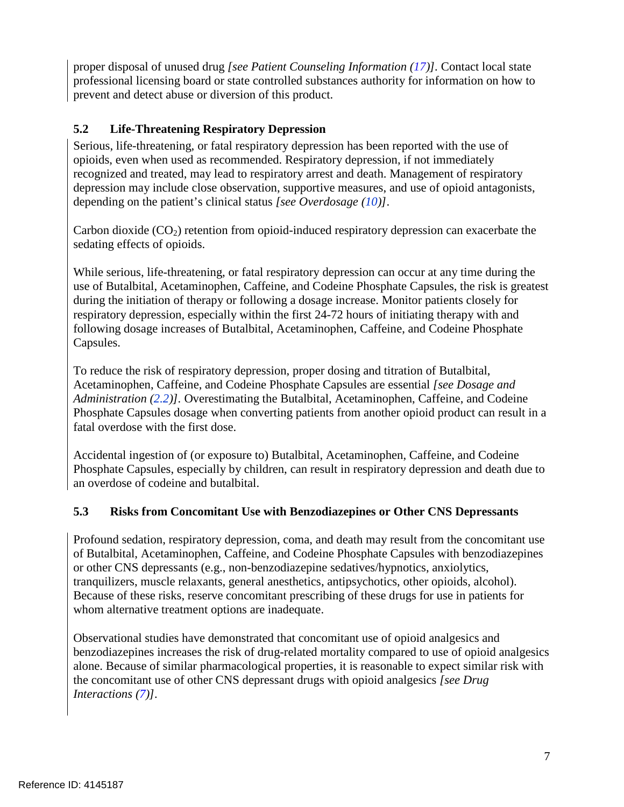proper disposal of unused drug *[see Patient Counseling Information (17)].* Contact local state professional licensing board or state controlled substances authority for information on how to prevent and detect abuse or diversion of this product.

# **5.2 Life-Threatening Respiratory Depression**

Serious, life-threatening, or fatal respiratory depression has been reported with the use of opioids, even when used as recommended. Respiratory depression, if not immediately recognized and treated, may lead to respiratory arrest and death. Management of respiratory depression may include close observation, supportive measures, and use of opioid antagonists, depending on the patient's clinical status *[see Overdosage (10)]*.

 sedating effects of opioids. Carbon dioxide  $(CO_2)$  retention from opioid-induced respiratory depression can exacerbate the

 during the initiation of therapy or following a dosage increase. Monitor patients closely for While serious, life-threatening, or fatal respiratory depression can occur at any time during the use of Butalbital, Acetaminophen, Caffeine, and Codeine Phosphate Capsules, the risk is greatest respiratory depression, especially within the first 24-72 hours of initiating therapy with and following dosage increases of Butalbital, Acetaminophen, Caffeine, and Codeine Phosphate Capsules.

 Phosphate Capsules dosage when converting patients from another opioid product can result in a To reduce the risk of respiratory depression, proper dosing and titration of Butalbital, Acetaminophen, Caffeine, and Codeine Phosphate Capsules are essential *[see Dosage and Administration (2.2)].* Overestimating the Butalbital, Acetaminophen, Caffeine, and Codeine fatal overdose with the first dose.

 Phosphate Capsules, especially by children, can result in respiratory depression and death due to Accidental ingestion of (or exposure to) Butalbital, Acetaminophen, Caffeine, and Codeine an overdose of codeine and butalbital.

# **5.3 Risks from Concomitant Use with Benzodiazepines or Other CNS Depressants**

 of Butalbital, Acetaminophen, Caffeine, and Codeine Phosphate Capsules with benzodiazepines tranquilizers, muscle relaxants, general anesthetics, antipsychotics, other opioids, alcohol). whom alternative treatment options are inadequate. Profound sedation, respiratory depression, coma, and death may result from the concomitant use or other CNS depressants (e.g., non-benzodiazepine sedatives/hypnotics, anxiolytics, Because of these risks, reserve concomitant prescribing of these drugs for use in patients for

Observational studies have demonstrated that concomitant use of opioid analgesics and benzodiazepines increases the risk of drug-related mortality compared to use of opioid analgesics alone. Because of similar pharmacological properties, it is reasonable to expect similar risk with the concomitant use of other CNS depressant drugs with opioid analgesics *[see Drug Interactions (7)].*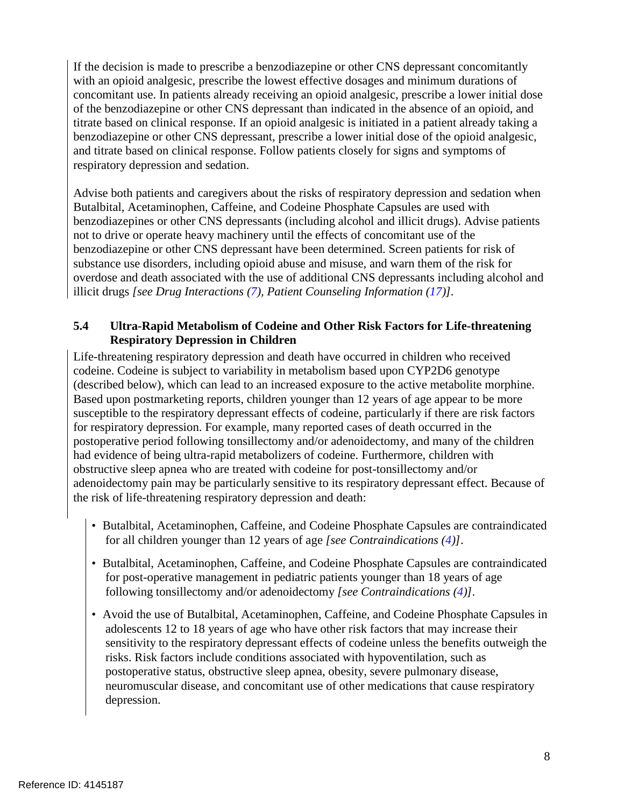titrate based on clinical response. If an opioid analgesic is initiated in a patient already taking a If the decision is made to prescribe a benzodiazepine or other CNS depressant concomitantly with an opioid analgesic, prescribe the lowest effective dosages and minimum durations of concomitant use. In patients already receiving an opioid analgesic, prescribe a lower initial dose of the benzodiazepine or other CNS depressant than indicated in the absence of an opioid, and benzodiazepine or other CNS depressant, prescribe a lower initial dose of the opioid analgesic, and titrate based on clinical response. Follow patients closely for signs and symptoms of respiratory depression and sedation.

 Butalbital, Acetaminophen, Caffeine, and Codeine Phosphate Capsules are used with  illicit drugs *[see Drug Interactions (7), Patient Counseling Information (17)].*  Advise both patients and caregivers about the risks of respiratory depression and sedation when benzodiazepines or other CNS depressants (including alcohol and illicit drugs). Advise patients not to drive or operate heavy machinery until the effects of concomitant use of the benzodiazepine or other CNS depressant have been determined. Screen patients for risk of substance use disorders, including opioid abuse and misuse, and warn them of the risk for overdose and death associated with the use of additional CNS depressants including alcohol and

# **5.4 Ultra-Rapid Metabolism of Codeine and Other Risk Factors for Life-threatening Respiratory Depression in Children**

Life-threatening respiratory depression and death have occurred in children who received codeine. Codeine is subject to variability in metabolism based upon CYP2D6 genotype (described below), which can lead to an increased exposure to the active metabolite morphine. Based upon postmarketing reports, children younger than 12 years of age appear to be more susceptible to the respiratory depressant effects of codeine, particularly if there are risk factors for respiratory depression. For example, many reported cases of death occurred in the postoperative period following tonsillectomy and/or adenoidectomy, and many of the children had evidence of being ultra-rapid metabolizers of codeine. Furthermore, children with obstructive sleep apnea who are treated with codeine for post-tonsillectomy and/or adenoidectomy pain may be particularly sensitive to its respiratory depressant effect. Because of the risk of life-threatening respiratory depression and death:

- Butalbital, Acetaminophen, Caffeine, and Codeine Phosphate Capsules are contraindicated for all children younger than 12 years of age *[see Contraindications (4)]*.
- for post-operative management in pediatric patients younger than 18 years of age • Butalbital, Acetaminophen, Caffeine, and Codeine Phosphate Capsules are contraindicated following tonsillectomy and/or adenoidectomy *[see Contraindications (4)]*.
- Avoid the use of Butalbital, Acetaminophen, Caffeine, and Codeine Phosphate Capsules in adolescents 12 to 18 years of age who have other risk factors that may increase their sensitivity to the respiratory depressant effects of codeine unless the benefits outweigh the risks. Risk factors include conditions associated with hypoventilation, such as postoperative status, obstructive sleep apnea, obesity, severe pulmonary disease, neuromuscular disease, and concomitant use of other medications that cause respiratory depression.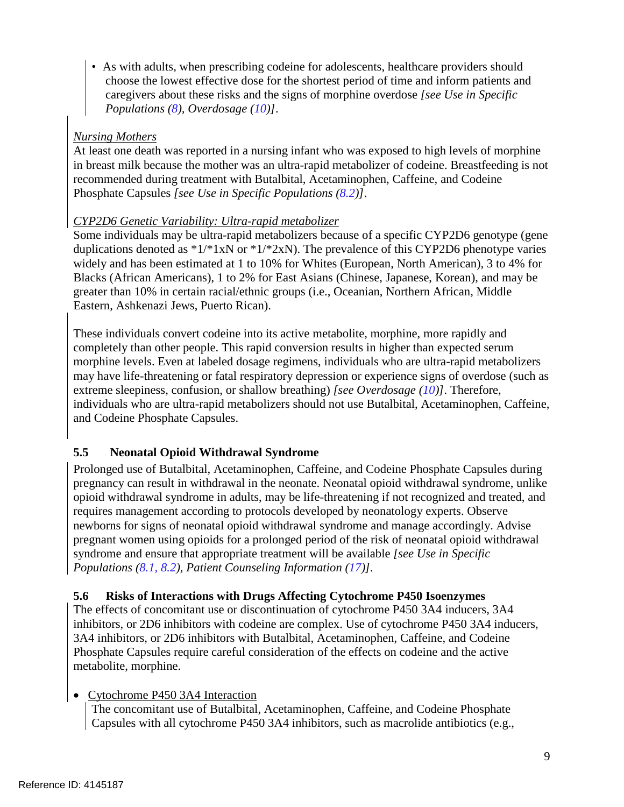choose the lowest effective dose for the shortest period of time and inform patients and *Populations (8), Overdosage (10)]*. • As with adults, when prescribing codeine for adolescents, healthcare providers should caregivers about these risks and the signs of morphine overdose *[see Use in Specific* 

# *Nursing Mothers*

At least one death was reported in a nursing infant who was exposed to high levels of morphine in breast milk because the mother was an ultra-rapid metabolizer of codeine. Breastfeeding is not recommended during treatment with Butalbital, Acetaminophen, Caffeine, and Codeine Phosphate Capsules *[see Use in Specific Populations (8.2)]*.

# *CYP2D6 Genetic Variability: Ultra-rapid metabolizer*

 widely and has been estimated at 1 to 10% for Whites (European, North American), 3 to 4% for greater than 10% in certain racial/ethnic groups (i.e., Oceanian, Northern African, Middle Some individuals may be ultra-rapid metabolizers because of a specific CYP2D6 genotype (gene duplications denoted as  $*1/*1xN$  or  $*1/*2xN$ . The prevalence of this CYP2D6 phenotype varies Blacks (African Americans), 1 to 2% for East Asians (Chinese, Japanese, Korean), and may be Eastern, Ashkenazi Jews, Puerto Rican).

 may have life-threatening or fatal respiratory depression or experience signs of overdose (such as and Codeine Phosphate Capsules. These individuals convert codeine into its active metabolite, morphine, more rapidly and completely than other people. This rapid conversion results in higher than expected serum morphine levels. Even at labeled dosage regimens, individuals who are ultra-rapid metabolizers extreme sleepiness, confusion, or shallow breathing) *[see Overdosage (10)]*. Therefore, individuals who are ultra-rapid metabolizers should not use Butalbital, Acetaminophen, Caffeine,

# **5.5 Neonatal Opioid Withdrawal Syndrome**

 Prolonged use of Butalbital, Acetaminophen, Caffeine, and Codeine Phosphate Capsules during pregnancy can result in withdrawal in the neonate. Neonatal opioid withdrawal syndrome, unlike opioid withdrawal syndrome in adults, may be life-threatening if not recognized and treated, and requires management according to protocols developed by neonatology experts. Observe newborns for signs of neonatal opioid withdrawal syndrome and manage accordingly. Advise pregnant women using opioids for a prolonged period of the risk of neonatal opioid withdrawal syndrome and ensure that appropriate treatment will be available *[see Use in Specific Populations (8.1, 8.2), Patient Counseling Information (17)].* 

# **5.6 Risks of Interactions with Drugs Affecting Cytochrome P450 Isoenzymes**

The effects of concomitant use or discontinuation of cytochrome P450 3A4 inducers, 3A4 inhibitors, or 2D6 inhibitors with codeine are complex. Use of cytochrome P450 3A4 inducers, 3A4 inhibitors, or 2D6 inhibitors with Butalbital, Acetaminophen, Caffeine, and Codeine Phosphate Capsules require careful consideration of the effects on codeine and the active metabolite, morphine.

# • Cytochrome P450 3A4 Interaction

The concomitant use of Butalbital, Acetaminophen, Caffeine, and Codeine Phosphate Capsules with all cytochrome P450 3A4 inhibitors, such as macrolide antibiotics (e.g.,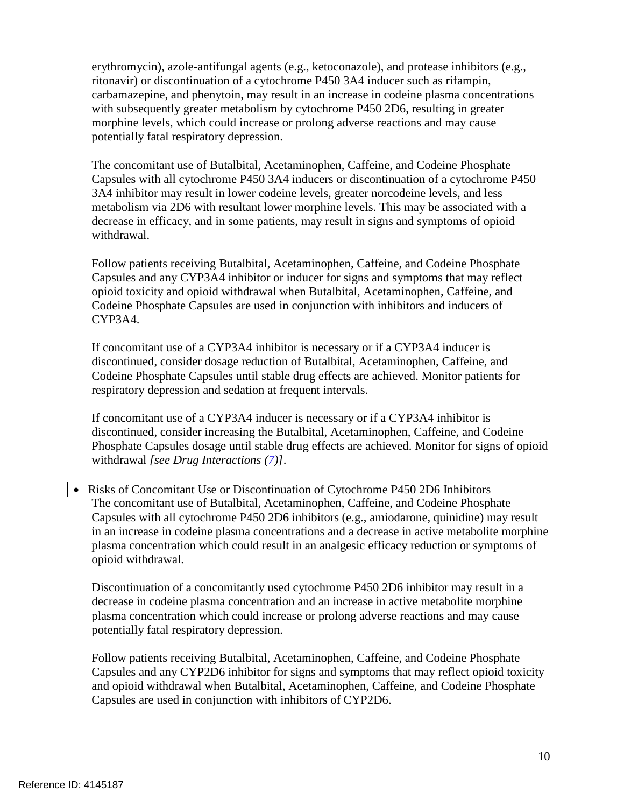morphine levels, which could increase or prolong adverse reactions and may cause erythromycin), azole-antifungal agents (e.g., ketoconazole), and protease inhibitors (e.g., ritonavir) or discontinuation of a cytochrome P450 3A4 inducer such as rifampin, carbamazepine, and phenytoin, may result in an increase in codeine plasma concentrations with subsequently greater metabolism by cytochrome P450 2D6, resulting in greater potentially fatal respiratory depression.

The concomitant use of Butalbital, Acetaminophen, Caffeine, and Codeine Phosphate Capsules with all cytochrome P450 3A4 inducers or discontinuation of a cytochrome P450 3A4 inhibitor may result in lower codeine levels, greater norcodeine levels, and less metabolism via 2D6 with resultant lower morphine levels. This may be associated with a decrease in efficacy, and in some patients, may result in signs and symptoms of opioid withdrawal.

 Capsules and any CYP3A4 inhibitor or inducer for signs and symptoms that may reflect Follow patients receiving Butalbital, Acetaminophen, Caffeine, and Codeine Phosphate opioid toxicity and opioid withdrawal when Butalbital, Acetaminophen, Caffeine, and Codeine Phosphate Capsules are used in conjunction with inhibitors and inducers of CYP3A4.

If concomitant use of a CYP3A4 inhibitor is necessary or if a CYP3A4 inducer is discontinued, consider dosage reduction of Butalbital, Acetaminophen, Caffeine, and Codeine Phosphate Capsules until stable drug effects are achieved. Monitor patients for respiratory depression and sedation at frequent intervals.

If concomitant use of a CYP3A4 inducer is necessary or if a CYP3A4 inhibitor is discontinued, consider increasing the Butalbital, Acetaminophen, Caffeine, and Codeine Phosphate Capsules dosage until stable drug effects are achieved. Monitor for signs of opioid withdrawal *[see Drug Interactions (7)]*.

 plasma concentration which could result in an analgesic efficacy reduction or symptoms of opioid withdrawal. • Risks of Concomitant Use or Discontinuation of Cytochrome P450 2D6 Inhibitors The concomitant use of Butalbital, Acetaminophen, Caffeine, and Codeine Phosphate Capsules with all cytochrome P450 2D6 inhibitors (e.g., amiodarone, quinidine) may result in an increase in codeine plasma concentrations and a decrease in active metabolite morphine

opioid withdrawal.<br>Discontinuation of a concomitantly used cytochrome P450 2D6 inhibitor may result in a decrease in codeine plasma concentration and an increase in active metabolite morphine plasma concentration which could increase or prolong adverse reactions and may cause potentially fatal respiratory depression.

Follow patients receiving Butalbital, Acetaminophen, Caffeine, and Codeine Phosphate Capsules and any CYP2D6 inhibitor for signs and symptoms that may reflect opioid toxicity and opioid withdrawal when Butalbital, Acetaminophen, Caffeine, and Codeine Phosphate Capsules are used in conjunction with inhibitors of CYP2D6.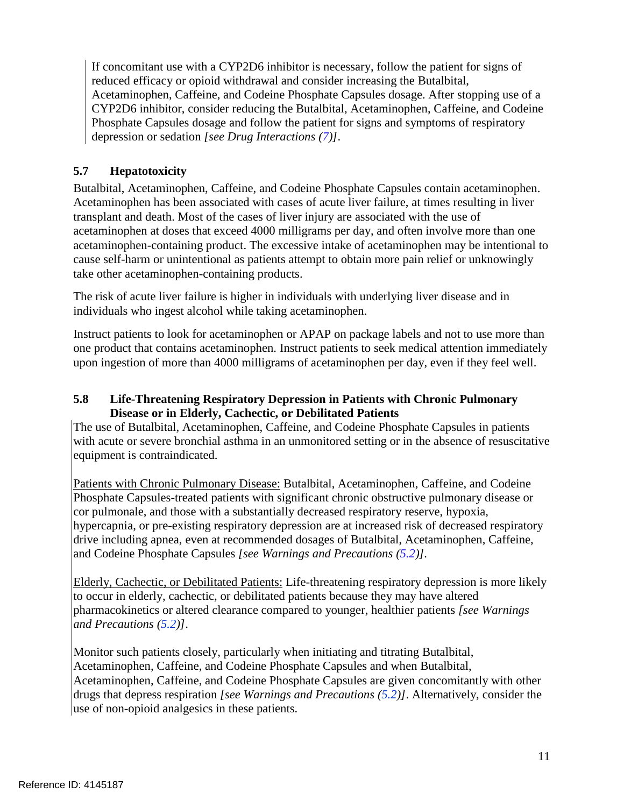Acetaminophen, Caffeine, and Codeine Phosphate Capsules dosage. After stopping use of a Phosphate Capsules dosage and follow the patient for signs and symptoms of respiratory If concomitant use with a CYP2D6 inhibitor is necessary, follow the patient for signs of reduced efficacy or opioid withdrawal and consider increasing the Butalbital, CYP2D6 inhibitor, consider reducing the Butalbital, Acetaminophen, Caffeine, and Codeine depression or sedation *[see Drug Interactions (7)]*.

# **5.7 Hepatotoxicity**

 Acetaminophen has been associated with cases of acute liver failure, at times resulting in liver Butalbital, Acetaminophen, Caffeine, and Codeine Phosphate Capsules contain acetaminophen. transplant and death. Most of the cases of liver injury are associated with the use of acetaminophen at doses that exceed 4000 milligrams per day, and often involve more than one acetaminophen-containing product. The excessive intake of acetaminophen may be intentional to cause self-harm or unintentional as patients attempt to obtain more pain relief or unknowingly take other acetaminophen-containing products.

The risk of acute liver failure is higher in individuals with underlying liver disease and in individuals who ingest alcohol while taking acetaminophen.

Instruct patients to look for acetaminophen or APAP on package labels and not to use more than one product that contains acetaminophen. Instruct patients to seek medical attention immediately upon ingestion of more than 4000 milligrams of acetaminophen per day, even if they feel well.

# **5.8 Life-Threatening Respiratory Depression in Patients with Chronic Pulmonary Disease or in Elderly, Cachectic, or Debilitated Patients**

 with acute or severe bronchial asthma in an unmonitored setting or in the absence of resuscitative The use of Butalbital, Acetaminophen, Caffeine, and Codeine Phosphate Capsules in patients equipment is contraindicated.

 and Codeine Phosphate Capsules *[see Warnings and Precautions (5.2)].*  Patients with Chronic Pulmonary Disease: Butalbital, Acetaminophen, Caffeine, and Codeine Phosphate Capsules-treated patients with significant chronic obstructive pulmonary disease or cor pulmonale, and those with a substantially decreased respiratory reserve, hypoxia, hypercapnia, or pre-existing respiratory depression are at increased risk of decreased respiratory drive including apnea, even at recommended dosages of Butalbital, Acetaminophen, Caffeine,

 pharmacokinetics or altered clearance compared to younger, healthier patients *[see Warnings*  Elderly, Cachectic, or Debilitated Patients: Life-threatening respiratory depression is more likely to occur in elderly, cachectic, or debilitated patients because they may have altered *and Precautions (5.2)]*.

 Monitor such patients closely, particularly when initiating and titrating Butalbital, Acetaminophen, Caffeine, and Codeine Phosphate Capsules and when Butalbital, Acetaminophen, Caffeine, and Codeine Phosphate Capsules are given concomitantly with other drugs that depress respiration *[see Warnings and Precautions (5.2)]*. Alternatively, consider the use of non-opioid analgesics in these patients.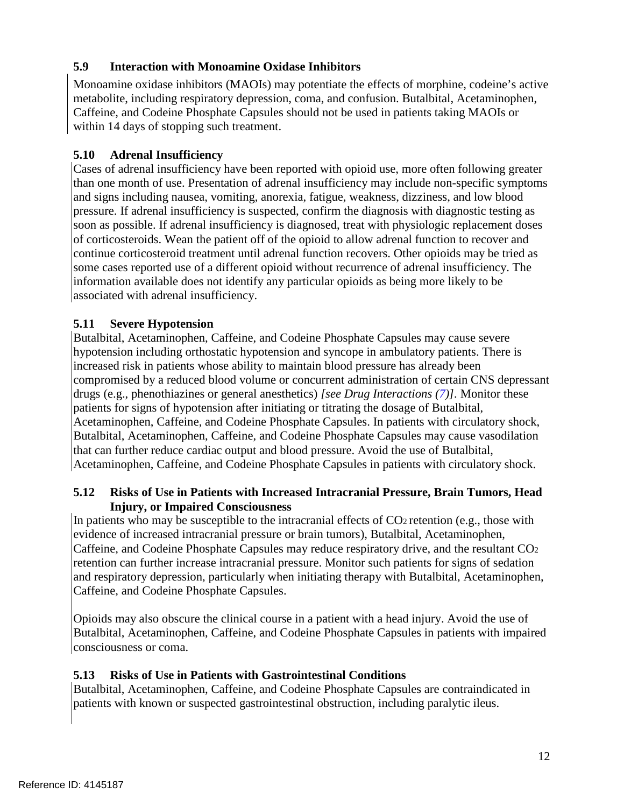# **5.9 Interaction with Monoamine Oxidase Inhibitors**

 Monoamine oxidase inhibitors (MAOIs) may potentiate the effects of morphine, codeine's active metabolite, including respiratory depression, coma, and confusion. Butalbital, Acetaminophen, Caffeine, and Codeine Phosphate Capsules should not be used in patients taking MAOIs or within 14 days of stopping such treatment.

# **5.10 Adrenal Insufficiency**

 Cases of adrenal insufficiency have been reported with opioid use, more often following greater than one month of use. Presentation of adrenal insufficiency may include non-specific symptoms and signs including nausea, vomiting, anorexia, fatigue, weakness, dizziness, and low blood pressure. If adrenal insufficiency is suspected, confirm the diagnosis with diagnostic testing as soon as possible. If adrenal insufficiency is diagnosed, treat with physiologic replacement doses of corticosteroids. Wean the patient off of the opioid to allow adrenal function to recover and continue corticosteroid treatment until adrenal function recovers. Other opioids may be tried as some cases reported use of a different opioid without recurrence of adrenal insufficiency. The information available does not identify any particular opioids as being more likely to be associated with adrenal insufficiency.

# **5.11 Severe Hypotension**

 Butalbital, Acetaminophen, Caffeine, and Codeine Phosphate Capsules may cause vasodilation Butalbital, Acetaminophen, Caffeine, and Codeine Phosphate Capsules may cause severe hypotension including orthostatic hypotension and syncope in ambulatory patients. There is increased risk in patients whose ability to maintain blood pressure has already been compromised by a reduced blood volume or concurrent administration of certain CNS depressant drugs (e.g., phenothiazines or general anesthetics) *[see Drug Interactions (7)].* Monitor these patients for signs of hypotension after initiating or titrating the dosage of Butalbital, Acetaminophen, Caffeine, and Codeine Phosphate Capsules. In patients with circulatory shock, that can further reduce cardiac output and blood pressure. Avoid the use of Butalbital, Acetaminophen, Caffeine, and Codeine Phosphate Capsules in patients with circulatory shock.

# **5.12 Risks of Use in Patients with Increased Intracranial Pressure, Brain Tumors, Head Injury, or Impaired Consciousness**

 Caffeine, and Codeine Phosphate Capsules may reduce respiratory drive, and the resultant CO2 Caffeine, and Codeine Phosphate Capsules. In patients who may be susceptible to the intracranial effects of CO<sub>2</sub> retention (e.g., those with evidence of increased intracranial pressure or brain tumors), Butalbital, Acetaminophen, retention can further increase intracranial pressure. Monitor such patients for signs of sedation and respiratory depression, particularly when initiating therapy with Butalbital, Acetaminophen,

Opioids may also obscure the clinical course in a patient with a head injury. Avoid the use of Butalbital, Acetaminophen, Caffeine, and Codeine Phosphate Capsules in patients with impaired consciousness or coma.

# **5.13 Risks of Use in Patients with Gastrointestinal Conditions**

 Butalbital, Acetaminophen, Caffeine, and Codeine Phosphate Capsules are contraindicated in patients with known or suspected gastrointestinal obstruction, including paralytic ileus.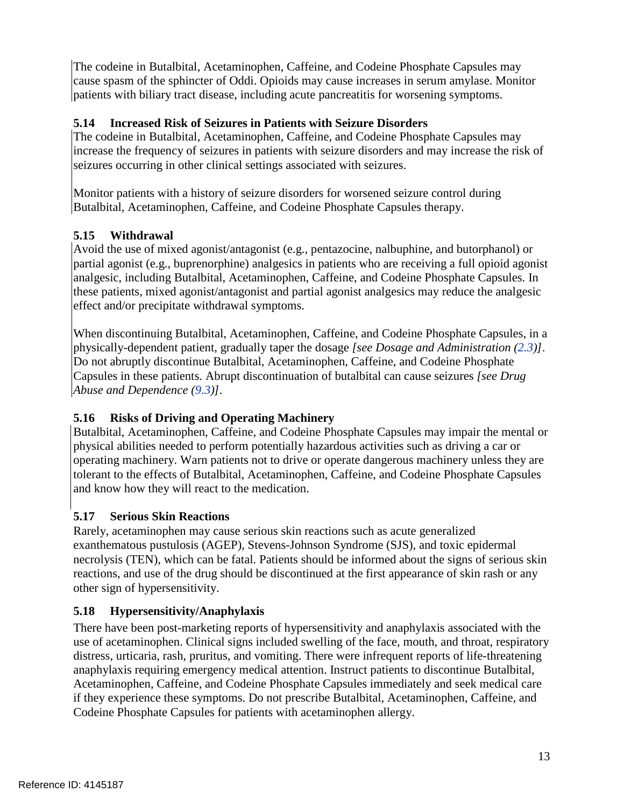cause spasm of the sphincter of Oddi. Opioids may cause increases in serum amylase. Monitor The codeine in Butalbital, Acetaminophen, Caffeine, and Codeine Phosphate Capsules may patients with biliary tract disease, including acute pancreatitis for worsening symptoms.

# **5.14 Increased Risk of Seizures in Patients with Seizure Disorders**

 increase the frequency of seizures in patients with seizure disorders and may increase the risk of The codeine in Butalbital, Acetaminophen, Caffeine, and Codeine Phosphate Capsules may seizures occurring in other clinical settings associated with seizures.

 Butalbital, Acetaminophen, Caffeine, and Codeine Phosphate Capsules therapy. Monitor patients with a history of seizure disorders for worsened seizure control during

# **5.15 Withdrawal**

 partial agonist (e.g., buprenorphine) analgesics in patients who are receiving a full opioid agonist Avoid the use of mixed agonist/antagonist (e.g., pentazocine, nalbuphine, and butorphanol) or analgesic, including Butalbital, Acetaminophen, Caffeine, and Codeine Phosphate Capsules. In these patients, mixed agonist/antagonist and partial agonist analgesics may reduce the analgesic effect and/or precipitate withdrawal symptoms.

 physically-dependent patient, gradually taper the dosage *[see Dosage and Administration (2.3)]*. When discontinuing Butalbital, Acetaminophen, Caffeine, and Codeine Phosphate Capsules, in a Do not abruptly discontinue Butalbital, Acetaminophen, Caffeine, and Codeine Phosphate Capsules in these patients. Abrupt discontinuation of butalbital can cause seizures *[see Drug Abuse and Dependence (9.3)]*.

# **5.16 Risks of Driving and Operating Machinery**

Butalbital, Acetaminophen, Caffeine, and Codeine Phosphate Capsules may impair the mental or physical abilities needed to perform potentially hazardous activities such as driving a car or operating machinery. Warn patients not to drive or operate dangerous machinery unless they are tolerant to the effects of Butalbital, Acetaminophen, Caffeine, and Codeine Phosphate Capsules and know how they will react to the medication.

# **5.17 Serious Skin Reactions**

 reactions, and use of the drug should be discontinued at the first appearance of skin rash or any Rarely, acetaminophen may cause serious skin reactions such as acute generalized exanthematous pustulosis (AGEP), Stevens-Johnson Syndrome (SJS), and toxic epidermal necrolysis (TEN), which can be fatal. Patients should be informed about the signs of serious skin other sign of hypersensitivity.

# **5.18 Hypersensitivity/Anaphylaxis**

 There have been post-marketing reports of hypersensitivity and anaphylaxis associated with the use of acetaminophen. Clinical signs included swelling of the face, mouth, and throat, respiratory distress, urticaria, rash, pruritus, and vomiting. There were infrequent reports of life-threatening anaphylaxis requiring emergency medical attention. Instruct patients to discontinue Butalbital, Acetaminophen, Caffeine, and Codeine Phosphate Capsules immediately and seek medical care if they experience these symptoms. Do not prescribe Butalbital, Acetaminophen, Caffeine, and Codeine Phosphate Capsules for patients with acetaminophen allergy.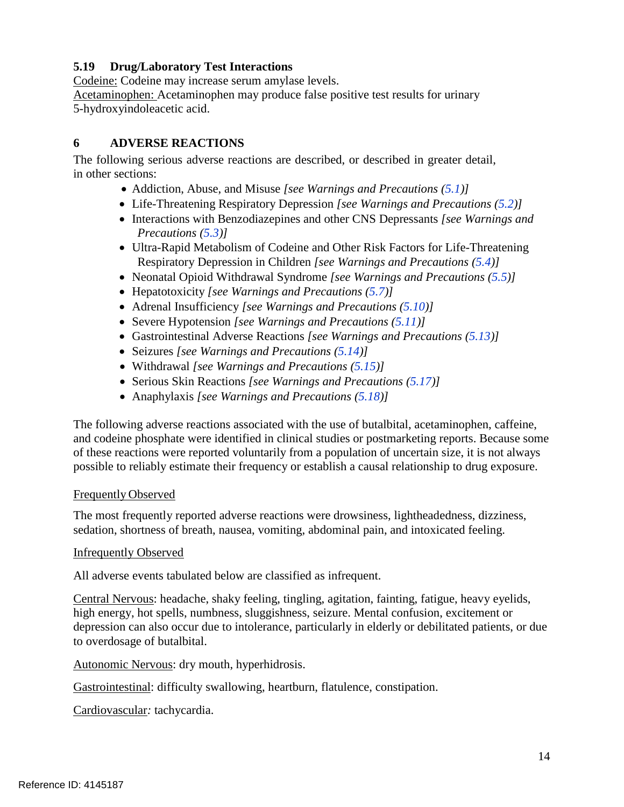# **5.19 Drug/Laboratory Test Interactions**

Codeine: Codeine may increase serum amylase levels.

Acetaminophen: Acetaminophen may produce false positive test results for urinary 5-hydroxyindoleacetic acid.

# **6 ADVERSE REACTIONS**

The following serious adverse reactions are described, or described in greater detail, in other sections:

- Addiction, Abuse, and Misuse *[see Warnings and Precautions (5.1)]*
- Life-Threatening Respiratory Depression *[see Warnings and Precautions (5.2)]*
- Interactions with Benzodiazepines and other CNS Depressants *[see Warnings and Precautions (5.3)]*
- Ultra-Rapid Metabolism of Codeine and Other Risk Factors for Life-Threatening  Respiratory Depression in Children *[see Warnings and Precautions (5.4)]*
- Neonatal Opioid Withdrawal Syndrome *[see Warnings and Precautions (5.5)]*
- Hepatotoxicity *[see Warnings and Precautions (5.7)]*
- Adrenal Insufficiency *[see Warnings and Precautions (5.10)]*
- Severe Hypotension *[see Warnings and Precautions (5.11)]*
- Gastrointestinal Adverse Reactions *[see Warnings and Precautions (5.13)]*
- Seizures *[see Warnings and Precautions (5.14)]*
- Withdrawal *[see Warnings and Precautions (5.15)]*
- Serious Skin Reactions *[see Warnings and Precautions (5.17)]*
- Anaphylaxis *[see Warnings and Precautions (5.18)]*

The following adverse reactions associated with the use of butalbital, acetaminophen, caffeine, and codeine phosphate were identified in clinical studies or postmarketing reports. Because some of these reactions were reported voluntarily from a population of uncertain size, it is not always possible to reliably estimate their frequency or establish a causal relationship to drug exposure.

# Frequently Observed

 The most frequently reported adverse reactions were drowsiness, lightheadedness, dizziness, sedation, shortness of breath, nausea, vomiting, abdominal pain, and intoxicated feeling.

# Infrequently Observed

All adverse events tabulated below are classified as infrequent.

Central Nervous: headache, shaky feeling, tingling, agitation, fainting, fatigue, heavy eyelids, high energy, hot spells, numbness, sluggishness, seizure. Mental confusion, excitement or depression can also occur due to intolerance, particularly in elderly or debilitated patients, or due to overdosage of butalbital.

Autonomic Nervous: dry mouth, hyperhidrosis.

Gastrointestinal: difficulty swallowing, heartburn, flatulence, constipation.

Cardiovascular*:* tachycardia.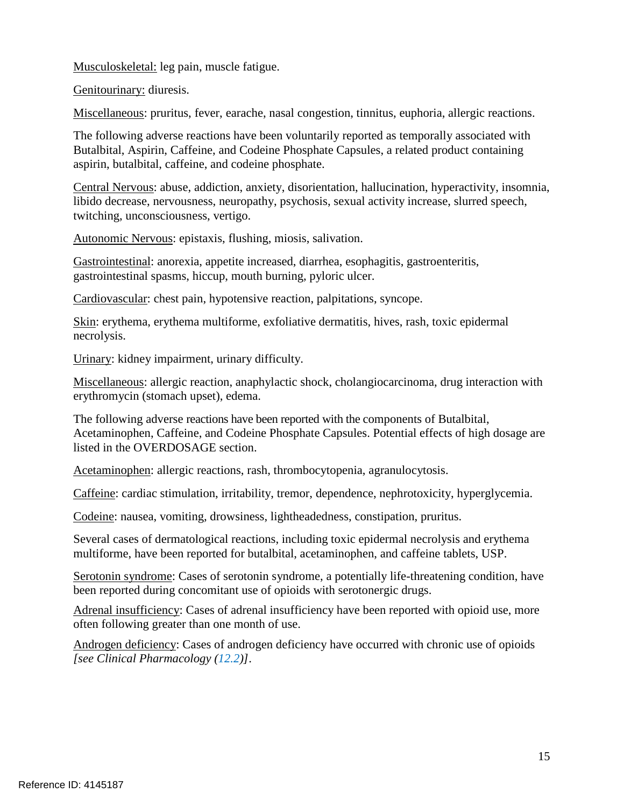Musculoskeletal: leg pain, muscle fatigue.

Genitourinary: diuresis.

Miscellaneous: pruritus, fever, earache, nasal congestion, tinnitus, euphoria, allergic reactions.

 Butalbital, Aspirin, Caffeine, and Codeine Phosphate Capsules, a related product containing The following adverse reactions have been voluntarily reported as temporally associated with aspirin, butalbital, caffeine, and codeine phosphate.

Central Nervous: abuse, addiction, anxiety, disorientation, hallucination, hyperactivity, insomnia, libido decrease, nervousness, neuropathy, psychosis, sexual activity increase, slurred speech, twitching, unconsciousness, vertigo.

Autonomic Nervous: epistaxis, flushing, miosis, salivation.

Gastrointestinal: anorexia, appetite increased, diarrhea, esophagitis, gastroenteritis, gastrointestinal spasms, hiccup, mouth burning, pyloric ulcer.

Cardiovascular: chest pain, hypotensive reaction, palpitations, syncope.

Skin: erythema, erythema multiforme, exfoliative dermatitis, hives, rash, toxic epidermal necrolysis.

Urinary: kidney impairment, urinary difficulty.

Miscellaneous: allergic reaction, anaphylactic shock, cholangiocarcinoma, drug interaction with erythromycin (stomach upset), edema.

 The following adverse reactions have been reported with the components of Butalbital, Acetaminophen, Caffeine, and Codeine Phosphate Capsules. Potential effects of high dosage are listed in the OVERDOSAGE section.

Acetaminophen: allergic reactions, rash, thrombocytopenia, agranulocytosis.

Caffeine: cardiac stimulation, irritability, tremor, dependence, nephrotoxicity, hyperglycemia.

Codeine: nausea, vomiting, drowsiness, lightheadedness, constipation, pruritus.

Several cases of dermatological reactions, including toxic epidermal necrolysis and erythema multiforme, have been reported for butalbital, acetaminophen, and caffeine tablets, USP.

Serotonin syndrome: Cases of serotonin syndrome, a potentially life-threatening condition, have been reported during concomitant use of opioids with serotonergic drugs.

 often following greater than one month of use. Adrenal insufficiency: Cases of adrenal insufficiency have been reported with opioid use, more

Androgen deficiency: Cases of androgen deficiency have occurred with chronic use of opioids *[see Clinical Pharmacology (12.2)]*.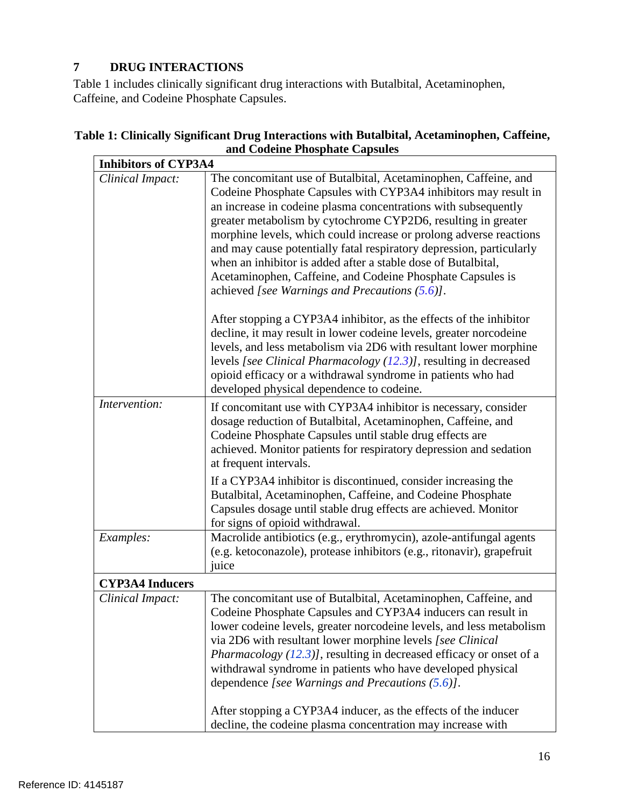# <span id="page-15-0"></span>**7 DRUG INTERACTIONS**

Table 1 includes clinically significant drug interactions with Butalbital, Acetaminophen, Caffeine, and Codeine Phosphate Capsules.

|                        | <b>Inhibitors of CYP3A4</b>                                                                                                                                                                                                                                                                                                                                                                                                                                                                                                                                                                              |  |  |
|------------------------|----------------------------------------------------------------------------------------------------------------------------------------------------------------------------------------------------------------------------------------------------------------------------------------------------------------------------------------------------------------------------------------------------------------------------------------------------------------------------------------------------------------------------------------------------------------------------------------------------------|--|--|
| Clinical Impact:       | The concomitant use of Butalbital, Acetaminophen, Caffeine, and<br>Codeine Phosphate Capsules with CYP3A4 inhibitors may result in<br>an increase in codeine plasma concentrations with subsequently<br>greater metabolism by cytochrome CYP2D6, resulting in greater<br>morphine levels, which could increase or prolong adverse reactions<br>and may cause potentially fatal respiratory depression, particularly<br>when an inhibitor is added after a stable dose of Butalbital,<br>Acetaminophen, Caffeine, and Codeine Phosphate Capsules is<br>achieved [see Warnings and Precautions $(5.6)$ ].  |  |  |
|                        | After stopping a CYP3A4 inhibitor, as the effects of the inhibitor<br>decline, it may result in lower codeine levels, greater norcodeine<br>levels, and less metabolism via 2D6 with resultant lower morphine<br>levels [see Clinical Pharmacology (12.3)], resulting in decreased<br>opioid efficacy or a withdrawal syndrome in patients who had<br>developed physical dependence to codeine.                                                                                                                                                                                                          |  |  |
| Intervention:          | If concomitant use with CYP3A4 inhibitor is necessary, consider<br>dosage reduction of Butalbital, Acetaminophen, Caffeine, and<br>Codeine Phosphate Capsules until stable drug effects are<br>achieved. Monitor patients for respiratory depression and sedation<br>at frequent intervals.                                                                                                                                                                                                                                                                                                              |  |  |
|                        | If a CYP3A4 inhibitor is discontinued, consider increasing the<br>Butalbital, Acetaminophen, Caffeine, and Codeine Phosphate<br>Capsules dosage until stable drug effects are achieved. Monitor<br>for signs of opioid withdrawal.                                                                                                                                                                                                                                                                                                                                                                       |  |  |
| Examples:              | Macrolide antibiotics (e.g., erythromycin), azole-antifungal agents<br>(e.g. ketoconazole), protease inhibitors (e.g., ritonavir), grapefruit<br>juice                                                                                                                                                                                                                                                                                                                                                                                                                                                   |  |  |
| <b>CYP3A4 Inducers</b> |                                                                                                                                                                                                                                                                                                                                                                                                                                                                                                                                                                                                          |  |  |
| Clinical Impact:       | The concomitant use of Butalbital, Acetaminophen, Caffeine, and<br>Codeine Phosphate Capsules and CYP3A4 inducers can result in<br>lower codeine levels, greater norcodeine levels, and less metabolism<br>via 2D6 with resultant lower morphine levels [see Clinical<br><i>Pharmacology (12.3)]</i> , resulting in decreased efficacy or onset of a<br>withdrawal syndrome in patients who have developed physical<br>dependence [see Warnings and Precautions (5.6)].<br>After stopping a CYP3A4 inducer, as the effects of the inducer<br>decline, the codeine plasma concentration may increase with |  |  |

# **Table 1: Clinically Significant Drug Interactions with Butalbital, Acetaminophen, Caffeine, and Codeine Phosphate Capsules**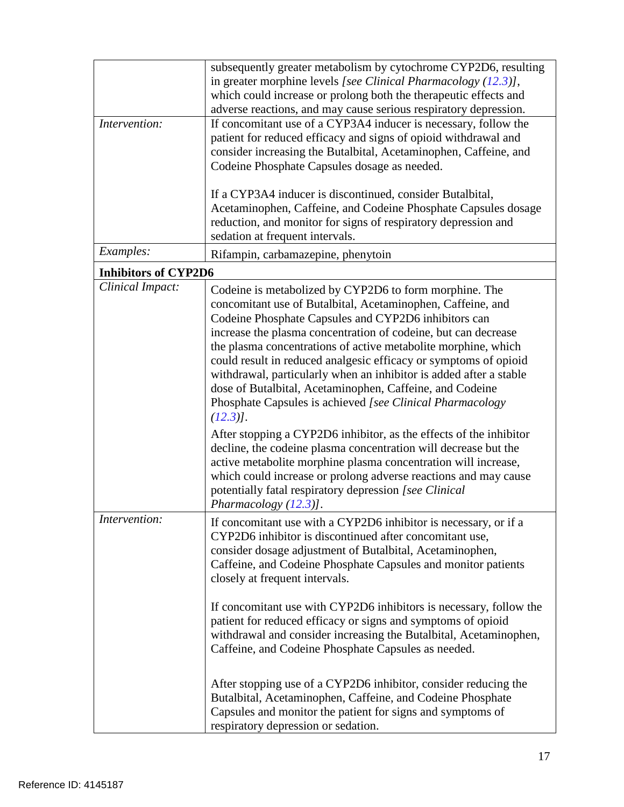| Intervention:               | subsequently greater metabolism by cytochrome CYP2D6, resulting<br>in greater morphine levels [see Clinical Pharmacology (12.3)],<br>which could increase or prolong both the therapeutic effects and<br>adverse reactions, and may cause serious respiratory depression.<br>If concomitant use of a CYP3A4 inducer is necessary, follow the<br>patient for reduced efficacy and signs of opioid withdrawal and<br>consider increasing the Butalbital, Acetaminophen, Caffeine, and                                                                                                                                                                                                                                                                                                                                                                                                                                                                                     |  |
|-----------------------------|-------------------------------------------------------------------------------------------------------------------------------------------------------------------------------------------------------------------------------------------------------------------------------------------------------------------------------------------------------------------------------------------------------------------------------------------------------------------------------------------------------------------------------------------------------------------------------------------------------------------------------------------------------------------------------------------------------------------------------------------------------------------------------------------------------------------------------------------------------------------------------------------------------------------------------------------------------------------------|--|
|                             | Codeine Phosphate Capsules dosage as needed.<br>If a CYP3A4 inducer is discontinued, consider Butalbital,<br>Acetaminophen, Caffeine, and Codeine Phosphate Capsules dosage<br>reduction, and monitor for signs of respiratory depression and<br>sedation at frequent intervals.                                                                                                                                                                                                                                                                                                                                                                                                                                                                                                                                                                                                                                                                                        |  |
| Examples:                   | Rifampin, carbamazepine, phenytoin                                                                                                                                                                                                                                                                                                                                                                                                                                                                                                                                                                                                                                                                                                                                                                                                                                                                                                                                      |  |
| <b>Inhibitors of CYP2D6</b> |                                                                                                                                                                                                                                                                                                                                                                                                                                                                                                                                                                                                                                                                                                                                                                                                                                                                                                                                                                         |  |
| Clinical Impact:            | Codeine is metabolized by CYP2D6 to form morphine. The<br>concomitant use of Butalbital, Acetaminophen, Caffeine, and<br>Codeine Phosphate Capsules and CYP2D6 inhibitors can<br>increase the plasma concentration of codeine, but can decrease<br>the plasma concentrations of active metabolite morphine, which<br>could result in reduced analgesic efficacy or symptoms of opioid<br>withdrawal, particularly when an inhibitor is added after a stable<br>dose of Butalbital, Acetaminophen, Caffeine, and Codeine<br>Phosphate Capsules is achieved [see Clinical Pharmacology<br>$(12.3)$ ].<br>After stopping a CYP2D6 inhibitor, as the effects of the inhibitor<br>decline, the codeine plasma concentration will decrease but the<br>active metabolite morphine plasma concentration will increase,<br>which could increase or prolong adverse reactions and may cause<br>potentially fatal respiratory depression [see Clinical<br>Pharmacology $(12.3)$ ]. |  |
| Intervention:               | If concomitant use with a CYP2D6 inhibitor is necessary, or if a<br>CYP2D6 inhibitor is discontinued after concomitant use,<br>consider dosage adjustment of Butalbital, Acetaminophen,<br>Caffeine, and Codeine Phosphate Capsules and monitor patients<br>closely at frequent intervals.<br>If concomitant use with CYP2D6 inhibitors is necessary, follow the<br>patient for reduced efficacy or signs and symptoms of opioid<br>withdrawal and consider increasing the Butalbital, Acetaminophen,<br>Caffeine, and Codeine Phosphate Capsules as needed.<br>After stopping use of a CYP2D6 inhibitor, consider reducing the<br>Butalbital, Acetaminophen, Caffeine, and Codeine Phosphate<br>Capsules and monitor the patient for signs and symptoms of<br>respiratory depression or sedation.                                                                                                                                                                      |  |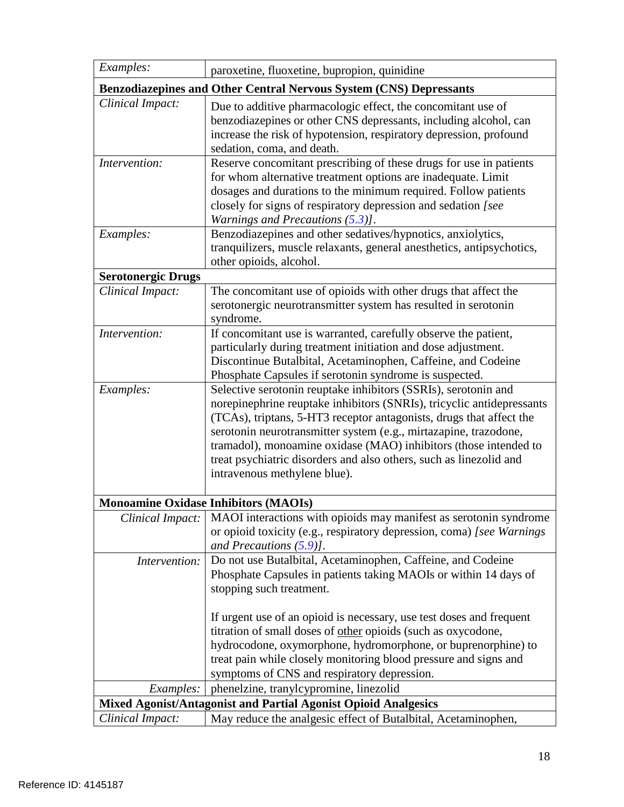| Examples:                                                             | paroxetine, fluoxetine, bupropion, quinidine                                                                                                                                                                                                                                                                                                                                                                                                                 |  |
|-----------------------------------------------------------------------|--------------------------------------------------------------------------------------------------------------------------------------------------------------------------------------------------------------------------------------------------------------------------------------------------------------------------------------------------------------------------------------------------------------------------------------------------------------|--|
|                                                                       | <b>Benzodiazepines and Other Central Nervous System (CNS) Depressants</b>                                                                                                                                                                                                                                                                                                                                                                                    |  |
| Clinical Impact:                                                      | Due to additive pharmacologic effect, the concomitant use of<br>benzodiazepines or other CNS depressants, including alcohol, can<br>increase the risk of hypotension, respiratory depression, profound<br>sedation, coma, and death.                                                                                                                                                                                                                         |  |
| Intervention:                                                         | Reserve concomitant prescribing of these drugs for use in patients<br>for whom alternative treatment options are inadequate. Limit<br>dosages and durations to the minimum required. Follow patients<br>closely for signs of respiratory depression and sedation [see<br>Warnings and Precautions $(5.3)$ ].                                                                                                                                                 |  |
| Examples:                                                             | Benzodiazepines and other sedatives/hypnotics, anxiolytics,<br>tranquilizers, muscle relaxants, general anesthetics, antipsychotics,<br>other opioids, alcohol.                                                                                                                                                                                                                                                                                              |  |
| <b>Serotonergic Drugs</b>                                             |                                                                                                                                                                                                                                                                                                                                                                                                                                                              |  |
| Clinical Impact:                                                      | The concomitant use of opioids with other drugs that affect the<br>serotonergic neurotransmitter system has resulted in serotonin<br>syndrome.                                                                                                                                                                                                                                                                                                               |  |
| Intervention:                                                         | If concomitant use is warranted, carefully observe the patient,<br>particularly during treatment initiation and dose adjustment.<br>Discontinue Butalbital, Acetaminophen, Caffeine, and Codeine<br>Phosphate Capsules if serotonin syndrome is suspected.                                                                                                                                                                                                   |  |
| Examples:                                                             | Selective serotonin reuptake inhibitors (SSRIs), serotonin and<br>norepinephrine reuptake inhibitors (SNRIs), tricyclic antidepressants<br>(TCAs), triptans, 5-HT3 receptor antagonists, drugs that affect the<br>serotonin neurotransmitter system (e.g., mirtazapine, trazodone,<br>tramadol), monoamine oxidase (MAO) inhibitors (those intended to<br>treat psychiatric disorders and also others, such as linezolid and<br>intravenous methylene blue). |  |
|                                                                       | <b>Monoamine Oxidase Inhibitors (MAOIs)</b>                                                                                                                                                                                                                                                                                                                                                                                                                  |  |
| Clinical Impact:                                                      | MAOI interactions with opioids may manifest as serotonin syndrome<br>or opioid toxicity (e.g., respiratory depression, coma) [see Warnings]<br>and Precautions $(5.9)$ ].                                                                                                                                                                                                                                                                                    |  |
| Intervention:                                                         | Do not use Butalbital, Acetaminophen, Caffeine, and Codeine<br>Phosphate Capsules in patients taking MAOIs or within 14 days of<br>stopping such treatment.                                                                                                                                                                                                                                                                                                  |  |
|                                                                       | If urgent use of an opioid is necessary, use test doses and frequent<br>titration of small doses of other opioids (such as oxycodone,<br>hydrocodone, oxymorphone, hydromorphone, or buprenorphine) to<br>treat pain while closely monitoring blood pressure and signs and<br>symptoms of CNS and respiratory depression.                                                                                                                                    |  |
| Examples:                                                             | phenelzine, tranylcypromine, linezolid                                                                                                                                                                                                                                                                                                                                                                                                                       |  |
| <b>Mixed Agonist/Antagonist and Partial Agonist Opioid Analgesics</b> |                                                                                                                                                                                                                                                                                                                                                                                                                                                              |  |
| Clinical Impact:                                                      | May reduce the analgesic effect of Butalbital, Acetaminophen,                                                                                                                                                                                                                                                                                                                                                                                                |  |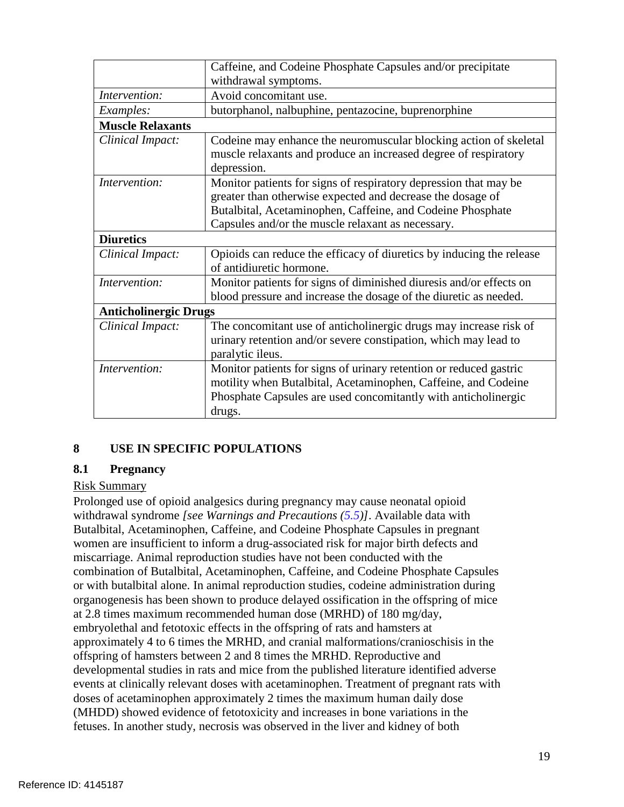|                              | Caffeine, and Codeine Phosphate Capsules and/or precipitate<br>withdrawal symptoms.                                                                                                                                                               |  |
|------------------------------|---------------------------------------------------------------------------------------------------------------------------------------------------------------------------------------------------------------------------------------------------|--|
| Intervention:                | Avoid concomitant use.                                                                                                                                                                                                                            |  |
| Examples:                    | butorphanol, nalbuphine, pentazocine, buprenorphine                                                                                                                                                                                               |  |
| <b>Muscle Relaxants</b>      |                                                                                                                                                                                                                                                   |  |
| Clinical Impact:             | Codeine may enhance the neuromuscular blocking action of skeletal<br>muscle relaxants and produce an increased degree of respiratory<br>depression.                                                                                               |  |
| Intervention:                | Monitor patients for signs of respiratory depression that may be<br>greater than otherwise expected and decrease the dosage of<br>Butalbital, Acetaminophen, Caffeine, and Codeine Phosphate<br>Capsules and/or the muscle relaxant as necessary. |  |
| <b>Diuretics</b>             |                                                                                                                                                                                                                                                   |  |
| Clinical Impact:             | Opioids can reduce the efficacy of diuretics by inducing the release<br>of antidiuretic hormone.                                                                                                                                                  |  |
| Intervention:                | Monitor patients for signs of diminished diuresis and/or effects on<br>blood pressure and increase the dosage of the diuretic as needed.                                                                                                          |  |
| <b>Anticholinergic Drugs</b> |                                                                                                                                                                                                                                                   |  |
| Clinical Impact:             | The concomitant use of anticholinergic drugs may increase risk of<br>urinary retention and/or severe constipation, which may lead to<br>paralytic ileus.                                                                                          |  |
| Intervention:                | Monitor patients for signs of urinary retention or reduced gastric<br>motility when Butalbital, Acetaminophen, Caffeine, and Codeine<br>Phosphate Capsules are used concomitantly with anticholinergic<br>drugs.                                  |  |

# <span id="page-18-0"></span>**8 USE IN SPECIFIC POPULATIONS**

### <span id="page-18-1"></span>**8.1 Pregnancy**

# Risk Summary

 Butalbital, Acetaminophen, Caffeine, and Codeine Phosphate Capsules in pregnant combination of Butalbital, Acetaminophen, Caffeine, and Codeine Phosphate Capsules approximately 4 to 6 times the MRHD, and cranial malformations/cranioschisis in the offspring of hamsters between 2 and 8 times the MRHD. Reproductive and doses of acetaminophen approximately 2 times the maximum human daily dose (MHDD) showed evidence of fetotoxicity and increases in bone variations in the Prolonged use of opioid analgesics during pregnancy may cause neonatal opioid withdrawal syndrome *[see Warnings and Precautions (5.5)]*. Available data with women are insufficient to inform a drug-associated risk for major birth defects and miscarriage. Animal reproduction studies have not been conducted with the or with butalbital alone. In animal reproduction studies, codeine administration during organogenesis has been shown to produce delayed ossification in the offspring of mice at 2.8 times maximum recommended human dose (MRHD) of 180 mg/day, embryolethal and fetotoxic effects in the offspring of rats and hamsters at developmental studies in rats and mice from the published literature identified adverse events at clinically relevant doses with acetaminophen. Treatment of pregnant rats with fetuses. In another study, necrosis was observed in the liver and kidney of both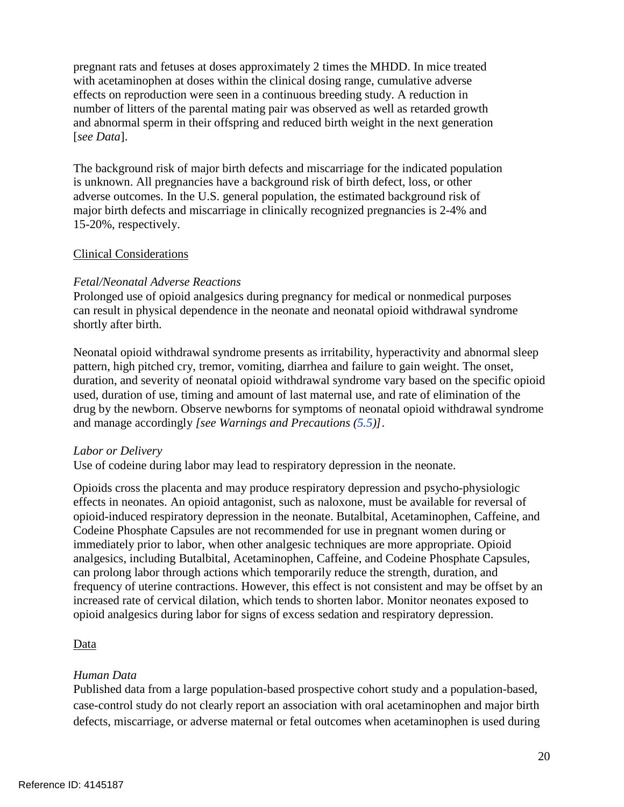pregnant rats and fetuses at doses approximately 2 times the MHDD. In mice treated with acetaminophen at doses within the clinical dosing range, cumulative adverse effects on reproduction were seen in a continuous breeding study. A reduction in number of litters of the parental mating pair was observed as well as retarded growth and abnormal sperm in their offspring and reduced birth weight in the next generation [*see Data*].

The background risk of major birth defects and miscarriage for the indicated population is unknown. All pregnancies have a background risk of birth defect, loss, or other adverse outcomes. In the U.S. general population, the estimated background risk of major birth defects and miscarriage in clinically recognized pregnancies is 2-4% and 15-20%, respectively.

### Clinical Considerations

### *Fetal/Neonatal Adverse Reactions*

 Prolonged use of opioid analgesics during pregnancy for medical or nonmedical purposes can result in physical dependence in the neonate and neonatal opioid withdrawal syndrome shortly after birth.

Neonatal opioid withdrawal syndrome presents as irritability, hyperactivity and abnormal sleep pattern, high pitched cry, tremor, vomiting, diarrhea and failure to gain weight. The onset, duration, and severity of neonatal opioid withdrawal syndrome vary based on the specific opioid used, duration of use, timing and amount of last maternal use, and rate of elimination of the drug by the newborn. Observe newborns for symptoms of neonatal opioid withdrawal syndrome and manage accordingly *[see Warnings and Precautions (5.5)]*.

### *Labor or Delivery*

Use of codeine during labor may lead to respiratory depression in the neonate.

 Opioids cross the placenta and may produce respiratory depression and psycho-physiologic Codeine Phosphate Capsules are not recommended for use in pregnant women during or analgesics, including Butalbital, Acetaminophen, Caffeine, and Codeine Phosphate Capsules, frequency of uterine contractions. However, this effect is not consistent and may be offset by an opioid analgesics during labor for signs of excess sedation and respiratory depression. effects in neonates. An opioid antagonist, such as naloxone, must be available for reversal of opioid-induced respiratory depression in the neonate. Butalbital, Acetaminophen, Caffeine, and immediately prior to labor, when other analgesic techniques are more appropriate. Opioid can prolong labor through actions which temporarily reduce the strength, duration, and increased rate of cervical dilation, which tends to shorten labor. Monitor neonates exposed to

# **Data**

### *Human Data*

Published data from a large population-based prospective cohort study and a population-based, case-control study do not clearly report an association with oral acetaminophen and major birth defects, miscarriage, or adverse maternal or fetal outcomes when acetaminophen is used during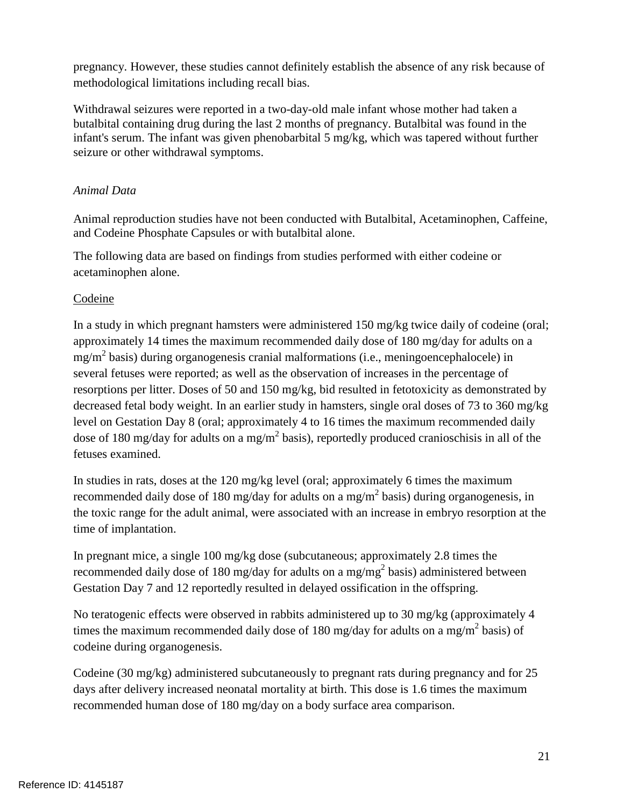pregnancy. However, these studies cannot definitely establish the absence of any risk because of methodological limitations including recall bias.

Withdrawal seizures were reported in a two-day-old male infant whose mother had taken a butalbital containing drug during the last 2 months of pregnancy. Butalbital was found in the infant's serum. The infant was given phenobarbital 5 mg/kg, which was tapered without further seizure or other withdrawal symptoms.

# *Animal Data*

 and Codeine Phosphate Capsules or with butalbital alone. Animal reproduction studies have not been conducted with Butalbital, Acetaminophen, Caffeine,

The following data are based on findings from studies performed with either codeine or acetaminophen alone.

# Codeine

 In a study in which pregnant hamsters were administered 150 mg/kg twice daily of codeine (oral; approximately 14 times the maximum recommended daily dose of 180 mg/day for adults on a level on Gestation Day 8 (oral; approximately 4 to 16 times the maximum recommended daily dose of 180 mg/day for adults on a mg/m<sup>2</sup> basis), reportedly produced cranioschisis in all of the mg/m2 basis) during organogenesis cranial malformations (i.e., meningoencephalocele) in several fetuses were reported; as well as the observation of increases in the percentage of resorptions per litter. Doses of 50 and 150 mg/kg, bid resulted in fetotoxicity as demonstrated by decreased fetal body weight. In an earlier study in hamsters, single oral doses of 73 to 360 mg/kg fetuses examined.

recommended daily dose of 180 mg/day for adults on a mg/m<sup>2</sup> basis) during organogenesis, in In studies in rats, doses at the 120 mg/kg level (oral; approximately 6 times the maximum the toxic range for the adult animal, were associated with an increase in embryo resorption at the time of implantation.

 In pregnant mice, a single 100 mg/kg dose (subcutaneous; approximately 2.8 times the recommended daily dose of 180 mg/day for adults on a mg/mg<sup>2</sup> basis) administered between Gestation Day 7 and 12 reportedly resulted in delayed ossification in the offspring.

 No teratogenic effects were observed in rabbits administered up to 30 mg/kg (approximately 4 times the maximum recommended daily dose of 180 mg/day for adults on a mg/m<sup>2</sup> basis) of codeine during organogenesis.

 recommended human dose of 180 mg/day on a body surface area comparison. Codeine (30 mg/kg) administered subcutaneously to pregnant rats during pregnancy and for 25 days after delivery increased neonatal mortality at birth. This dose is 1.6 times the maximum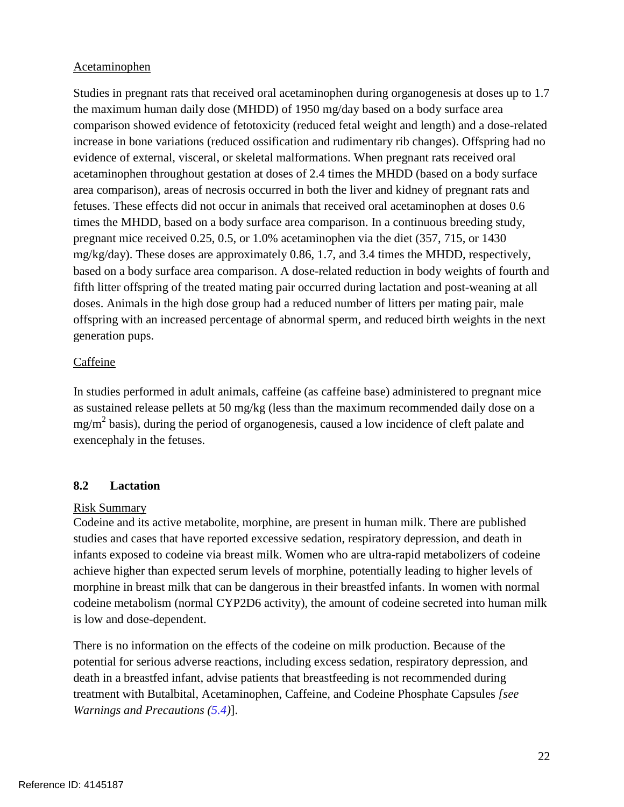### Acetaminophen

 the maximum human daily dose (MHDD) of 1950 mg/day based on a body surface area acetaminophen throughout gestation at doses of 2.4 times the MHDD (based on a body surface area comparison), areas of necrosis occurred in both the liver and kidney of pregnant rats and Studies in pregnant rats that received oral acetaminophen during organogenesis at doses up to 1.7 comparison showed evidence of fetotoxicity (reduced fetal weight and length) and a dose-related increase in bone variations (reduced ossification and rudimentary rib changes). Offspring had no evidence of external, visceral, or skeletal malformations. When pregnant rats received oral fetuses. These effects did not occur in animals that received oral acetaminophen at doses 0.6 times the MHDD, based on a body surface area comparison. In a continuous breeding study, pregnant mice received 0.25, 0.5, or 1.0% acetaminophen via the diet (357, 715, or 1430 mg/kg/day). These doses are approximately 0.86, 1.7, and 3.4 times the MHDD, respectively, based on a body surface area comparison. A dose-related reduction in body weights of fourth and fifth litter offspring of the treated mating pair occurred during lactation and post-weaning at all doses. Animals in the high dose group had a reduced number of litters per mating pair, male offspring with an increased percentage of abnormal sperm, and reduced birth weights in the next generation pups.

### Caffeine

 as sustained release pellets at 50 mg/kg (less than the maximum recommended daily dose on a In studies performed in adult animals, caffeine (as caffeine base) administered to pregnant mice  $mg/m<sup>2</sup>$  basis), during the period of organogenesis, caused a low incidence of cleft palate and exencephaly in the fetuses.

# **8.2 Lactation**

### Risk Summary

Codeine and its active metabolite, morphine, are present in human milk. There are published studies and cases that have reported excessive sedation, respiratory depression, and death in infants exposed to codeine via breast milk. Women who are ultra-rapid metabolizers of codeine achieve higher than expected serum levels of morphine, potentially leading to higher levels of morphine in breast milk that can be dangerous in their breastfed infants. In women with normal codeine metabolism (normal CYP2D6 activity), the amount of codeine secreted into human milk is low and dose-dependent.

There is no information on the effects of the codeine on milk production. Because of the potential for serious adverse reactions, including excess sedation, respiratory depression, and death in a breastfed infant, advise patients that breastfeeding is not recommended during treatment with Butalbital, Acetaminophen, Caffeine, and Codeine Phosphate Capsules *[see Warnings and Precautions (5.4)*].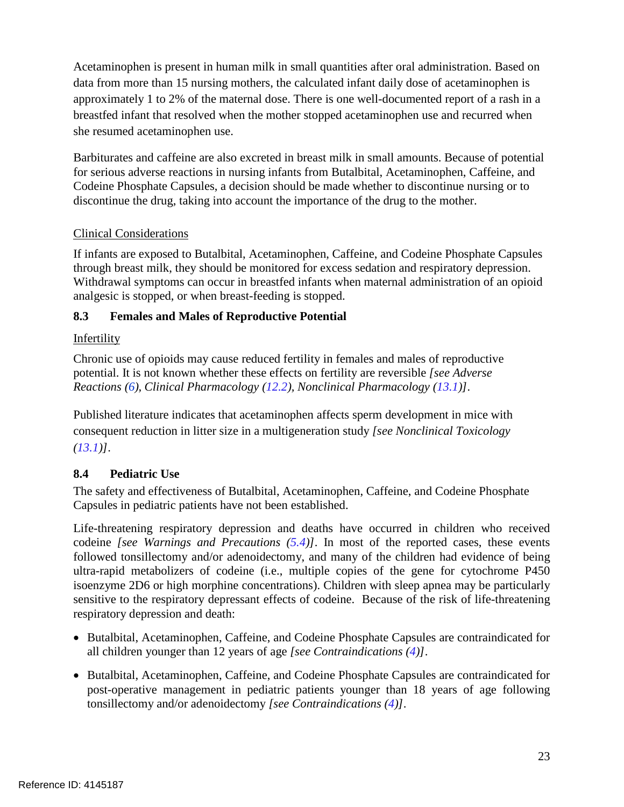approximately 1 to 2% of the maternal dose. There is one well-documented report of a rash in a Acetaminophen is present in human milk in small quantities after oral administration. Based on data from more than 15 nursing mothers, the calculated infant daily dose of acetaminophen is breastfed infant that resolved when the mother stopped acetaminophen use and recurred when she resumed acetaminophen use.

 discontinue the drug, taking into account the importance of the drug to the mother. Barbiturates and caffeine are also excreted in breast milk in small amounts. Because of potential for serious adverse reactions in nursing infants from Butalbital, Acetaminophen, Caffeine, and Codeine Phosphate Capsules, a decision should be made whether to discontinue nursing or to

# Clinical Considerations

If infants are exposed to Butalbital, Acetaminophen, Caffeine, and Codeine Phosphate Capsules through breast milk, they should be monitored for excess sedation and respiratory depression. Withdrawal symptoms can occur in breastfed infants when maternal administration of an opioid analgesic is stopped, or when breast-feeding is stopped.

# <span id="page-22-0"></span>**8.3 Females and Males of Reproductive Potential**

# Infertility

 Chronic use of opioids may cause reduced fertility in females and males of reproductive  *Reactions (6), Clinical Pharmacology (12.2), Nonclinical Pharmacology (13.1)].*  potential. It is not known whether these effects on fertility are reversible *[see Adverse* 

Published literature indicates that acetaminophen affects sperm development in mice with consequent reduction in litter size in a multigeneration study *[see Nonclinical Toxicology (13.1)]*.

# **8.4 Pediatric Use**

The safety and effectiveness of Butalbital, Acetaminophen, Caffeine, and Codeine Phosphate Capsules in pediatric patients have not been established.

 sensitive to the respiratory depressant effects of codeine. Because of the risk of life-threatening Life-threatening respiratory depression and deaths have occurred in children who received codeine *[see Warnings and Precautions (5.4)]*. In most of the reported cases, these events followed tonsillectomy and/or adenoidectomy, and many of the children had evidence of being ultra-rapid metabolizers of codeine (i.e., multiple copies of the gene for cytochrome P450 isoenzyme 2D6 or high morphine concentrations). Children with sleep apnea may be particularly respiratory depression and death:

- all children younger than 12 years of age *[see Contraindications (4)]*. • Butalbital, Acetaminophen, Caffeine, and Codeine Phosphate Capsules are contraindicated for
- post-operative management in pediatric patients younger than 18 years of age following • Butalbital, Acetaminophen, Caffeine, and Codeine Phosphate Capsules are contraindicated for tonsillectomy and/or adenoidectomy *[see Contraindications (4)]*.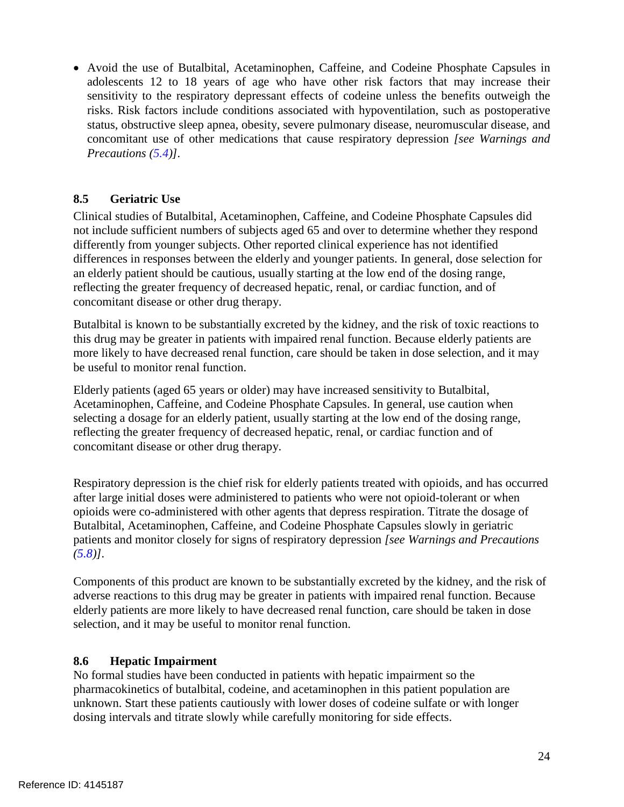• Avoid the use of Butalbital, Acetaminophen, Caffeine, and Codeine Phosphate Capsules in adolescents 12 to 18 years of age who have other risk factors that may increase their sensitivity to the respiratory depressant effects of codeine unless the benefits outweigh the risks. Risk factors include conditions associated with hypoventilation, such as postoperative status, obstructive sleep apnea, obesity, severe pulmonary disease, neuromuscular disease, and concomitant use of other medications that cause respiratory depression *[see Warnings and Precautions (5.4)].* 

# **8.5 Geriatric Use**

 differently from younger subjects. Other reported clinical experience has not identified differences in responses between the elderly and younger patients. In general, dose selection for Clinical studies of Butalbital, Acetaminophen, Caffeine, and Codeine Phosphate Capsules did not include sufficient numbers of subjects aged 65 and over to determine whether they respond an elderly patient should be cautious, usually starting at the low end of the dosing range, reflecting the greater frequency of decreased hepatic, renal, or cardiac function, and of concomitant disease or other drug therapy.

 this drug may be greater in patients with impaired renal function. Because elderly patients are Butalbital is known to be substantially excreted by the kidney, and the risk of toxic reactions to more likely to have decreased renal function, care should be taken in dose selection, and it may be useful to monitor renal function.

 Elderly patients (aged 65 years or older) may have increased sensitivity to Butalbital, selecting a dosage for an elderly patient, usually starting at the low end of the dosing range, Acetaminophen, Caffeine, and Codeine Phosphate Capsules. In general, use caution when reflecting the greater frequency of decreased hepatic, renal, or cardiac function and of concomitant disease or other drug therapy.

 opioids were co-administered with other agents that depress respiration. Titrate the dosage of Butalbital, Acetaminophen, Caffeine, and Codeine Phosphate Capsules slowly in geriatric patients and monitor closely for signs of respiratory depression *[see Warnings and Precautions*  Respiratory depression is the chief risk for elderly patients treated with opioids, and has occurred after large initial doses were administered to patients who were not opioid-tolerant or when *(5.8)].* 

 Components of this product are known to be substantially excreted by the kidney, and the risk of adverse reactions to this drug may be greater in patients with impaired renal function. Because elderly patients are more likely to have decreased renal function, care should be taken in dose selection, and it may be useful to monitor renal function.

### **8.6 Hepatic Impairment**

 dosing intervals and titrate slowly while carefully monitoring for side effects. No formal studies have been conducted in patients with hepatic impairment so the pharmacokinetics of butalbital, codeine, and acetaminophen in this patient population are unknown. Start these patients cautiously with lower doses of codeine sulfate or with longer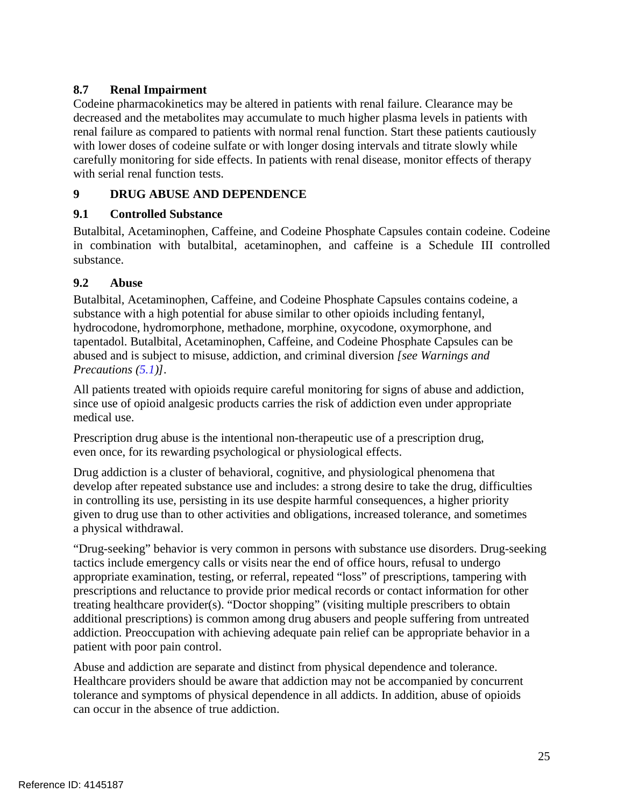# **8.7 Renal Impairment**

Codeine pharmacokinetics may be altered in patients with renal failure. Clearance may be decreased and the metabolites may accumulate to much higher plasma levels in patients with renal failure as compared to patients with normal renal function. Start these patients cautiously with lower doses of codeine sulfate or with longer dosing intervals and titrate slowly while carefully monitoring for side effects. In patients with renal disease, monitor effects of therapy with serial renal function tests.

# <span id="page-24-0"></span>**9 DRUG ABUSE AND DEPENDENCE**

# <span id="page-24-1"></span>**9.1 Controlled Substance**

 Butalbital, Acetaminophen, Caffeine, and Codeine Phosphate Capsules contain codeine. Codeine in combination with butalbital, acetaminophen, and caffeine is a Schedule III controlled substance.

#### <span id="page-24-2"></span> $9.2$ **9.2 Abuse**

 substance with a high potential for abuse similar to other opioids including fentanyl, Butalbital, Acetaminophen, Caffeine, and Codeine Phosphate Capsules contains codeine, a hydrocodone, hydromorphone, methadone, morphine, oxycodone, oxymorphone, and tapentadol. Butalbital, Acetaminophen, Caffeine, and Codeine Phosphate Capsules can be abused and is subject to misuse, addiction, and criminal diversion *[see Warnings and Precautions (5.1)].* 

All patients treated with opioids require careful monitoring for signs of abuse and addiction, since use of opioid analgesic products carries the risk of addiction even under appropriate medical use.

Prescription drug abuse is the intentional non-therapeutic use of a prescription drug, even once, for its rewarding psychological or physiological effects.

 given to drug use than to other activities and obligations, increased tolerance, and sometimes Drug addiction is a cluster of behavioral, cognitive, and physiological phenomena that develop after repeated substance use and includes: a strong desire to take the drug, difficulties in controlling its use, persisting in its use despite harmful consequences, a higher priority a physical withdrawal.

 tactics include emergency calls or visits near the end of office hours, refusal to undergo addiction. Preoccupation with achieving adequate pain relief can be appropriate behavior in a "Drug-seeking" behavior is very common in persons with substance use disorders. Drug-seeking appropriate examination, testing, or referral, repeated "loss" of prescriptions, tampering with prescriptions and reluctance to provide prior medical records or contact information for other treating healthcare provider(s). "Doctor shopping" (visiting multiple prescribers to obtain additional prescriptions) is common among drug abusers and people suffering from untreated patient with poor pain control.

 tolerance and symptoms of physical dependence in all addicts. In addition, abuse of opioids Abuse and addiction are separate and distinct from physical dependence and tolerance. Healthcare providers should be aware that addiction may not be accompanied by concurrent can occur in the absence of true addiction.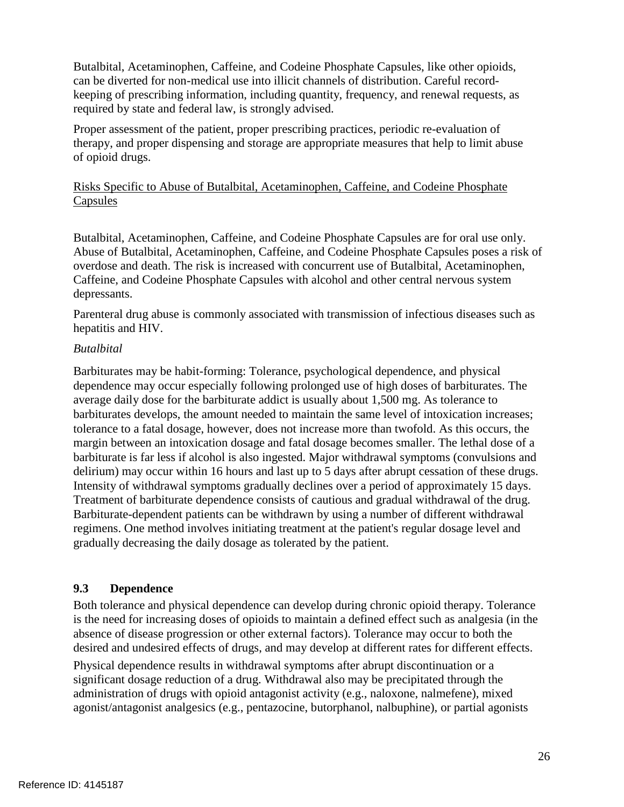Butalbital, Acetaminophen, Caffeine, and Codeine Phosphate Capsules, like other opioids, can be diverted for non-medical use into illicit channels of distribution. Careful recordkeeping of prescribing information, including quantity, frequency, and renewal requests, as required by state and federal law, is strongly advised.

Proper assessment of the patient, proper prescribing practices, periodic re-evaluation of therapy, and proper dispensing and storage are appropriate measures that help to limit abuse of opioid drugs.

# Risks Specific to Abuse of Butalbital, Acetaminophen, Caffeine, and Codeine Phosphate Capsules

 Butalbital, Acetaminophen, Caffeine, and Codeine Phosphate Capsules are for oral use only. Abuse of Butalbital, Acetaminophen, Caffeine, and Codeine Phosphate Capsules poses a risk of overdose and death. The risk is increased with concurrent use of Butalbital, Acetaminophen, Caffeine, and Codeine Phosphate Capsules with alcohol and other central nervous system depressants.

Parenteral drug abuse is commonly associated with transmission of infectious diseases such as hepatitis and HIV.

### *Butalbital*

 dependence may occur especially following prolonged use of high doses of barbiturates. The delirium) may occur within 16 hours and last up to 5 days after abrupt cessation of these drugs. Barbiturates may be habit-forming: Tolerance, psychological dependence, and physical average daily dose for the barbiturate addict is usually about 1,500 mg. As tolerance to barbiturates develops, the amount needed to maintain the same level of intoxication increases; tolerance to a fatal dosage, however, does not increase more than twofold. As this occurs, the margin between an intoxication dosage and fatal dosage becomes smaller. The lethal dose of a barbiturate is far less if alcohol is also ingested. Major withdrawal symptoms (convulsions and Intensity of withdrawal symptoms gradually declines over a period of approximately 15 days. Treatment of barbiturate dependence consists of cautious and gradual withdrawal of the drug. Barbiturate-dependent patients can be withdrawn by using a number of different withdrawal regimens. One method involves initiating treatment at the patient's regular dosage level and gradually decreasing the daily dosage as tolerated by the patient.

# <span id="page-25-0"></span>**9.3 Dependence**

Both tolerance and physical dependence can develop during chronic opioid therapy. Tolerance is the need for increasing doses of opioids to maintain a defined effect such as analgesia (in the absence of disease progression or other external factors). Tolerance may occur to both the desired and undesired effects of drugs, and may develop at different rates for different effects.

 administration of drugs with opioid antagonist activity (e.g., naloxone, nalmefene), mixed agonist/antagonist analgesics (e.g., pentazocine, butorphanol, nalbuphine), or partial agonists Physical dependence results in withdrawal symptoms after abrupt discontinuation or a significant dosage reduction of a drug. Withdrawal also may be precipitated through the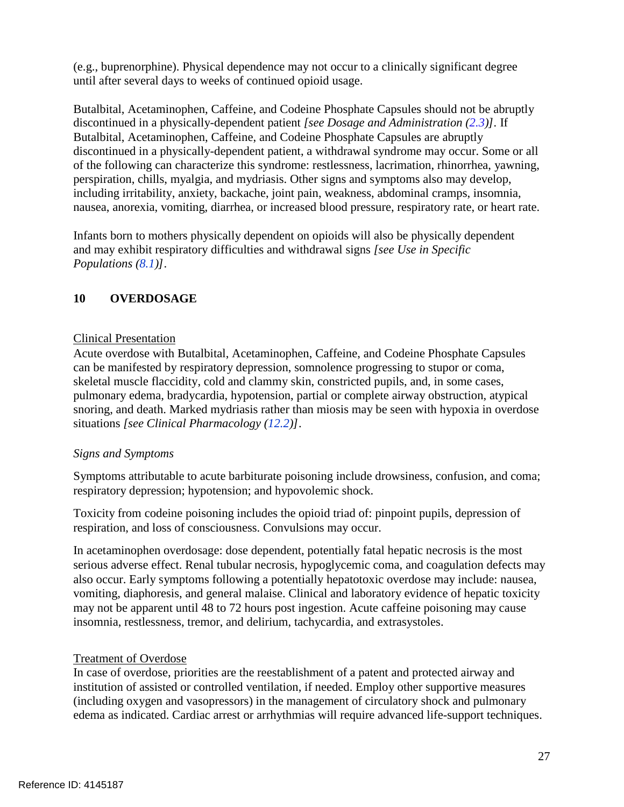(e.g., buprenorphine). Physical dependence may not occur to a clinically significant degree until after several days to weeks of continued opioid usage.

 Butalbital, Acetaminophen, Caffeine, and Codeine Phosphate Capsules should not be abruptly Butalbital, Acetaminophen, Caffeine, and Codeine Phosphate Capsules are abruptly discontinued in a physically-dependent patient, a withdrawal syndrome may occur. Some or all including irritability, anxiety, backache, joint pain, weakness, abdominal cramps, insomnia, discontinued in a physically-dependent patient *[see Dosage and Administration (2.3)].* If of the following can characterize this syndrome: restlessness, lacrimation, rhinorrhea, yawning, perspiration, chills, myalgia, and mydriasis. Other signs and symptoms also may develop, nausea, anorexia, vomiting, diarrhea, or increased blood pressure, respiratory rate, or heart rate.

Infants born to mothers physically dependent on opioids will also be physically dependent and may exhibit respiratory difficulties and withdrawal signs *[see Use in Specific Populations (8.1)]*.

# <span id="page-26-0"></span>**10 OVERDOSAGE**

# Clinical Presentation

 can be manifested by respiratory depression, somnolence progressing to stupor or coma, Acute overdose with Butalbital, Acetaminophen, Caffeine, and Codeine Phosphate Capsules skeletal muscle flaccidity, cold and clammy skin, constricted pupils, and, in some cases, pulmonary edema, bradycardia, hypotension, partial or complete airway obstruction, atypical snoring, and death. Marked mydriasis rather than miosis may be seen with hypoxia in overdose situations *[see Clinical Pharmacology (12.2)]*.

# *Signs and Symptoms*

Symptoms attributable to acute barbiturate poisoning include drowsiness, confusion, and coma; respiratory depression; hypotension; and hypovolemic shock.

Toxicity from codeine poisoning includes the opioid triad of: pinpoint pupils, depression of respiration, and loss of consciousness. Convulsions may occur.

In acetaminophen overdosage: dose dependent, potentially fatal hepatic necrosis is the most serious adverse effect. Renal tubular necrosis, hypoglycemic coma, and coagulation defects may also occur. Early symptoms following a potentially hepatotoxic overdose may include: nausea, vomiting, diaphoresis, and general malaise. Clinical and laboratory evidence of hepatic toxicity may not be apparent until 48 to 72 hours post ingestion. Acute caffeine poisoning may cause insomnia, restlessness, tremor, and delirium, tachycardia, and extrasystoles.

# Treatment of Overdose

 In case of overdose, priorities are the reestablishment of a patent and protected airway and edema as indicated. Cardiac arrest or arrhythmias will require advanced life-support techniques. institution of assisted or controlled ventilation, if needed. Employ other supportive measures (including oxygen and vasopressors) in the management of circulatory shock and pulmonary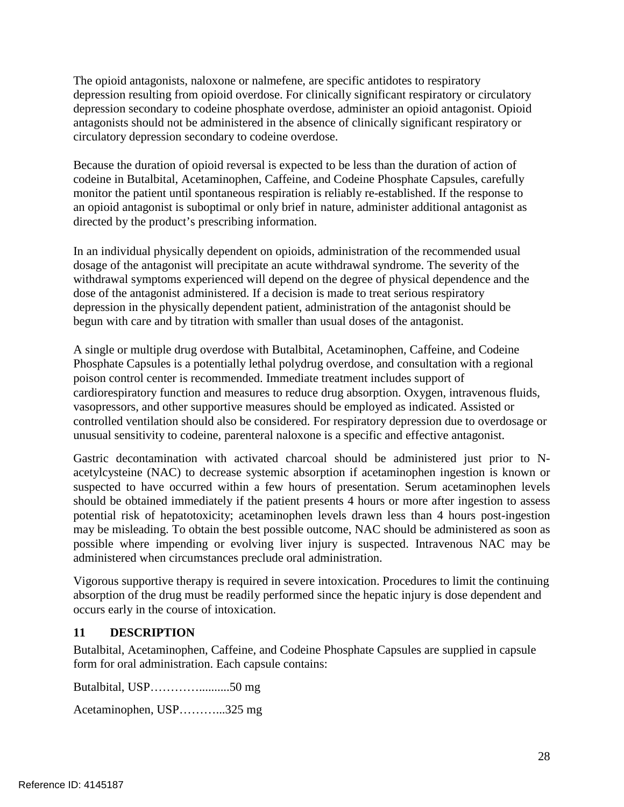The opioid antagonists, naloxone or nalmefene, are specific antidotes to respiratory antagonists should not be administered in the absence of clinically significant respiratory or depression resulting from opioid overdose. For clinically significant respiratory or circulatory depression secondary to codeine phosphate overdose, administer an opioid antagonist. Opioid circulatory depression secondary to codeine overdose.

 monitor the patient until spontaneous respiration is reliably re-established. If the response to Because the duration of opioid reversal is expected to be less than the duration of action of codeine in Butalbital, Acetaminophen, Caffeine, and Codeine Phosphate Capsules, carefully an opioid antagonist is suboptimal or only brief in nature, administer additional antagonist as directed by the product's prescribing information.

 dosage of the antagonist will precipitate an acute withdrawal syndrome. The severity of the dose of the antagonist administered. If a decision is made to treat serious respiratory In an individual physically dependent on opioids, administration of the recommended usual withdrawal symptoms experienced will depend on the degree of physical dependence and the depression in the physically dependent patient, administration of the antagonist should be begun with care and by titration with smaller than usual doses of the antagonist.

A single or multiple drug overdose with Butalbital, Acetaminophen, Caffeine, and Codeine Phosphate Capsules is a potentially lethal polydrug overdose, and consultation with a regional poison control center is recommended. Immediate treatment includes support of cardiorespiratory function and measures to reduce drug absorption. Oxygen, intravenous fluids, vasopressors, and other supportive measures should be employed as indicated. Assisted or controlled ventilation should also be considered. For respiratory depression due to overdosage or unusual sensitivity to codeine, parenteral naloxone is a specific and effective antagonist.

Gastric decontamination with activated charcoal should be administered just prior to Nacetylcysteine (NAC) to decrease systemic absorption if acetaminophen ingestion is known or suspected to have occurred within a few hours of presentation. Serum acetaminophen levels should be obtained immediately if the patient presents 4 hours or more after ingestion to assess potential risk of hepatotoxicity; acetaminophen levels drawn less than 4 hours post-ingestion may be misleading. To obtain the best possible outcome, NAC should be administered as soon as possible where impending or evolving liver injury is suspected. Intravenous NAC may be administered when circumstances preclude oral administration.

Vigorous supportive therapy is required in severe intoxication. Procedures to limit the continuing absorption of the drug must be readily performed since the hepatic injury is dose dependent and occurs early in the course of intoxication.

# <span id="page-27-0"></span>**11 DESCRIPTION**

 Butalbital, Acetaminophen, Caffeine, and Codeine Phosphate Capsules are supplied in capsule form for oral administration. Each capsule contains:

Butalbital, USP…………..........50 mg

Acetaminophen, USP………...325 mg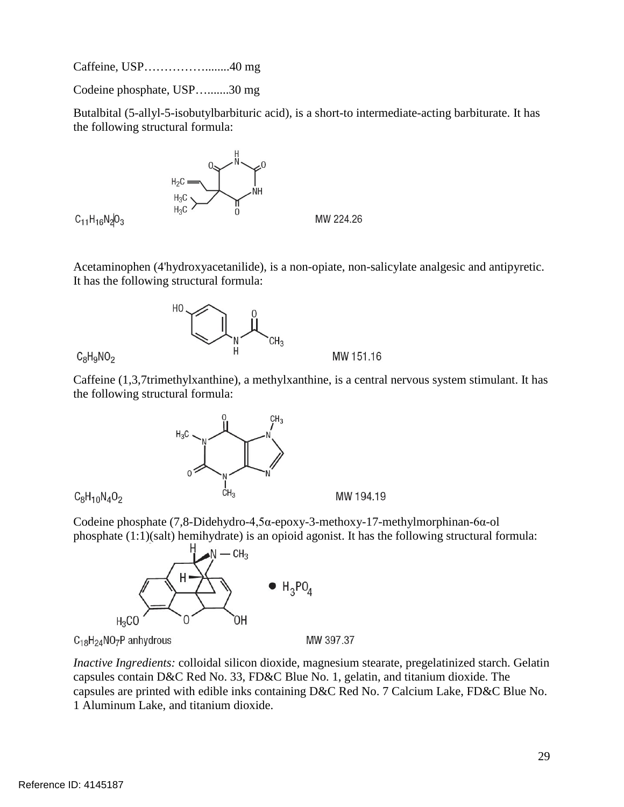Caffeine, USP……………........40 mg

Codeine phosphate, USP….......30 mg

 Butalbital (5-allyl-5-isobutylbarbituric acid), is a short-to intermediate-acting barbiturate. It has the following structural formula:



 $C_{11}H_{16}N_2O_3$ 

Acetaminophen (4'hydroxyacetanilide), is a non-opiate, non-salicylate analgesic and antipyretic. It has the following structural formula:



 $C_8H_9NO_2$ 

 Caffeine (1,3,7trimethylxanthine), a methylxanthine, is a central nervous system stimulant. It has the following structural formula:

MW 151.16



 $C_8H_{10}N_4O_2$ 

Codeine phosphate (7,8-Didehydro-4,5α-epoxy-3-methoxy-17-methylmorphinan-6α-ol phosphate (1:1)(salt) hemihydrate) is an opioid agonist. It has the following structural formula:



C<sub>18</sub>H<sub>24</sub>NO<sub>7</sub>P anhydrous

<span id="page-28-0"></span> capsules contain D&C Red No. 33, FD&C Blue No. 1, gelatin, and titanium dioxide. The *Inactive Ingredients:* colloidal silicon dioxide, magnesium stearate, pregelatinized starch. Gelatin capsules are printed with edible inks containing D&C Red No. 7 Calcium Lake, FD&C Blue No. 1 Aluminum Lake, and titanium dioxide.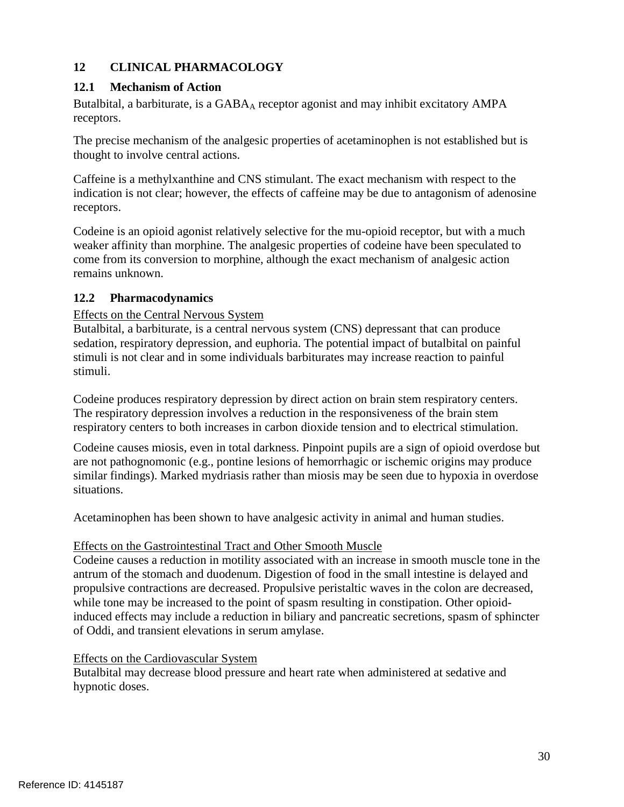# **12 CLINICAL PHARMACOLOGY**

# <span id="page-29-0"></span>**12.1 Mechanism of Action**

Butalbital, a barbiturate, is a GABA<sub>A</sub> receptor agonist and may inhibit excitatory AMPA receptors.

The precise mechanism of the analgesic properties of acetaminophen is not established but is thought to involve central actions.

 indication is not clear; however, the effects of caffeine may be due to antagonism of adenosine receptors. Caffeine is a methylxanthine and CNS stimulant. The exact mechanism with respect to the

Codeine is an opioid agonist relatively selective for the mu-opioid receptor, but with a much weaker affinity than morphine. The analgesic properties of codeine have been speculated to come from its conversion to morphine, although the exact mechanism of analgesic action remains unknown.

# <span id="page-29-1"></span>**12.2 Pharmacodynamics**

# Effects on the Central Nervous System

 Butalbital, a barbiturate, is a central nervous system (CNS) depressant that can produce sedation, respiratory depression, and euphoria. The potential impact of butalbital on painful stimuli is not clear and in some individuals barbiturates may increase reaction to painful stimuli.

 respiratory centers to both increases in carbon dioxide tension and to electrical stimulation. Codeine produces respiratory depression by direct action on brain stem respiratory centers. The respiratory depression involves a reduction in the responsiveness of the brain stem

 similar findings). Marked mydriasis rather than miosis may be seen due to hypoxia in overdose Codeine causes miosis, even in total darkness. Pinpoint pupils are a sign of opioid overdose but are not pathognomonic (e.g., pontine lesions of hemorrhagic or ischemic origins may produce situations.

Acetaminophen has been shown to have analgesic activity in animal and human studies.

# Effects on the Gastrointestinal Tract and Other Smooth Muscle

 Codeine causes a reduction in motility associated with an increase in smooth muscle tone in the propulsive contractions are decreased. Propulsive peristaltic waves in the colon are decreased, induced effects may include a reduction in biliary and pancreatic secretions, spasm of sphincter of Oddi, and transient elevations in serum amylase. antrum of the stomach and duodenum. Digestion of food in the small intestine is delayed and while tone may be increased to the point of spasm resulting in constipation. Other opioid-

# Effects on the Cardiovascular System

Butalbital may decrease blood pressure and heart rate when administered at sedative and hypnotic doses.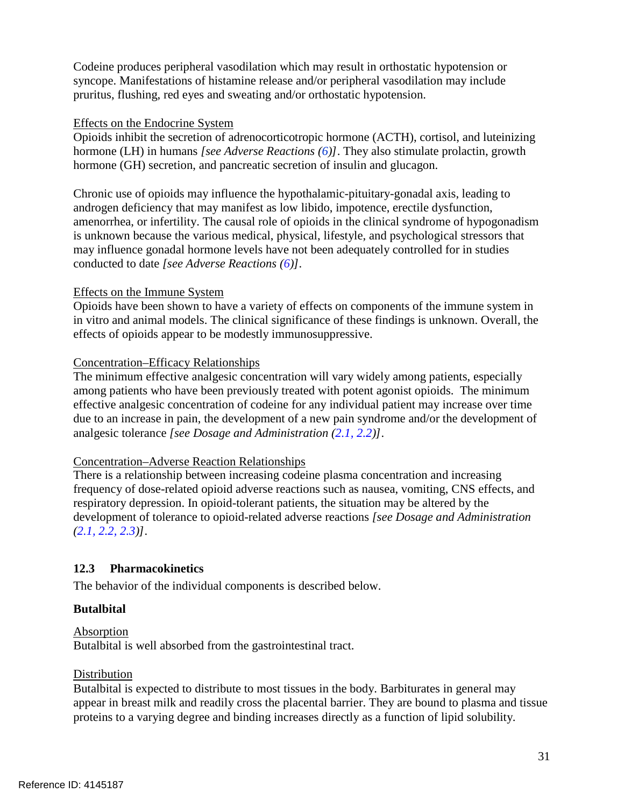Codeine produces peripheral vasodilation which may result in orthostatic hypotension or syncope. Manifestations of histamine release and/or peripheral vasodilation may include pruritus, flushing, red eyes and sweating and/or orthostatic hypotension.

#### Effects on the Endocrine System

 hormone (GH) secretion, and pancreatic secretion of insulin and glucagon. Opioids inhibit the secretion of adrenocorticotropic hormone (ACTH), cortisol, and luteinizing hormone (LH) in humans *[see Adverse Reactions (6)]*. They also stimulate prolactin, growth

 androgen deficiency that may manifest as low libido, impotence, erectile dysfunction, Chronic use of opioids may influence the hypothalamic-pituitary-gonadal axis, leading to amenorrhea, or infertility. The causal role of opioids in the clinical syndrome of hypogonadism is unknown because the various medical, physical, lifestyle, and psychological stressors that may influence gonadal hormone levels have not been adequately controlled for in studies conducted to date *[see Adverse Reactions (6)]*.

### Effects on the Immune System

 Opioids have been shown to have a variety of effects on components of the immune system in effects of opioids appear to be modestly immunosuppressive. in vitro and animal models. The clinical significance of these findings is unknown. Overall, the

#### Concentration–Efficacy Relationships

 effective analgesic concentration of codeine for any individual patient may increase over time The minimum effective analgesic concentration will vary widely among patients, especially among patients who have been previously treated with potent agonist opioids. The minimum due to an increase in pain, the development of a new pain syndrome and/or the development of analgesic tolerance *[see Dosage and Administration (2.1, 2.2)]*.

### Concentration–Adverse Reaction Relationships

There is a relationship between increasing codeine plasma concentration and increasing frequency of dose-related opioid adverse reactions such as nausea, vomiting, CNS effects, and respiratory depression. In opioid-tolerant patients, the situation may be altered by the development of tolerance to opioid-related adverse reactions *[see Dosage and Administration (2.1, 2.2, 2.3)]*.

### <span id="page-30-0"></span>**12.3 Pharmacokinetics**

The behavior of the individual components is described below.

### **Butalbital**

### Absorption

Butalbital is well absorbed from the gastrointestinal tract.

### Distribution

 Butalbital is expected to distribute to most tissues in the body. Barbiturates in general may appear in breast milk and readily cross the placental barrier. They are bound to plasma and tissue proteins to a varying degree and binding increases directly as a function of lipid solubility.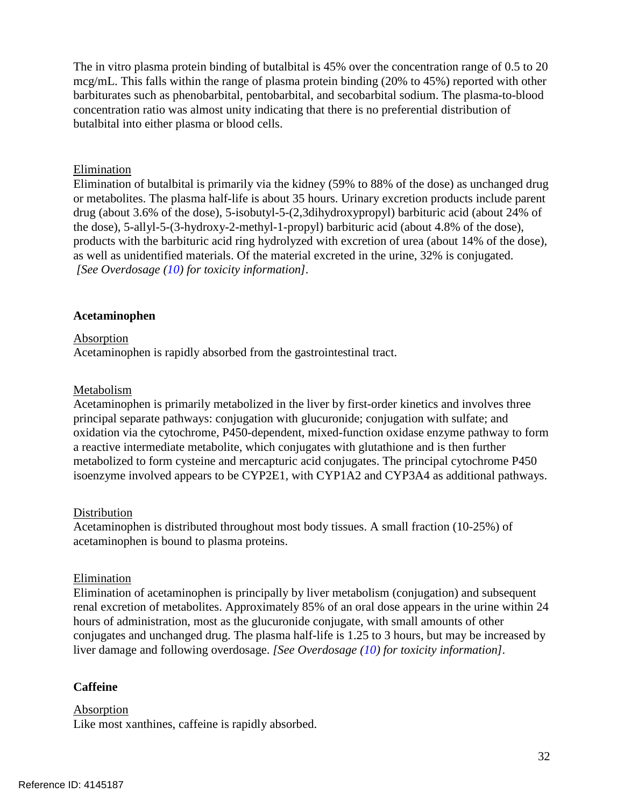The in vitro plasma protein binding of butalbital is 45% over the concentration range of 0.5 to 20 mcg/mL. This falls within the range of plasma protein binding (20% to 45%) reported with other barbiturates such as phenobarbital, pentobarbital, and secobarbital sodium. The plasma-to-blood concentration ratio was almost unity indicating that there is no preferential distribution of butalbital into either plasma or blood cells.

#### Elimination

Elimination of butalbital is primarily via the kidney (59% to 88% of the dose) as unchanged drug or metabolites. The plasma half-life is about 35 hours. Urinary excretion products include parent drug (about 3.6% of the dose), 5-isobutyl-5-(2,3dihydroxypropyl) barbituric acid (about 24% of the dose), 5-allyl-5-(3-hydroxy-2-methyl-1-propyl) barbituric acid (about 4.8% of the dose), products with the barbituric acid ring hydrolyzed with excretion of urea (about 14% of the dose), as well as unidentified materials. Of the material excreted in the urine, 32% is conjugated. *[See Overdosage (10) for toxicity information].* 

#### **Acetaminophen**

#### **Absorption**

Acetaminophen is rapidly absorbed from the gastrointestinal tract.

#### Metabolism

Acetaminophen is primarily metabolized in the liver by first-order kinetics and involves three principal separate pathways: conjugation with glucuronide; conjugation with sulfate; and oxidation via the cytochrome, P450-dependent, mixed-function oxidase enzyme pathway to form a reactive intermediate metabolite, which conjugates with glutathione and is then further metabolized to form cysteine and mercapturic acid conjugates. The principal cytochrome P450 isoenzyme involved appears to be CYP2E1, with CYP1A2 and CYP3A4 as additional pathways.

#### **Distribution**

Acetaminophen is distributed throughout most body tissues. A small fraction (10-25%) of acetaminophen is bound to plasma proteins.

#### Elimination

Elimination of acetaminophen is principally by liver metabolism (conjugation) and subsequent renal excretion of metabolites. Approximately 85% of an oral dose appears in the urine within 24 hours of administration, most as the glucuronide conjugate, with small amounts of other conjugates and unchanged drug. The plasma half-life is 1.25 to 3 hours, but may be increased by liver damage and following overdosage. *[See Overdosage (10) for toxicity information].* 

#### **Caffeine**

#### **Absorption**

Like most xanthines, caffeine is rapidly absorbed.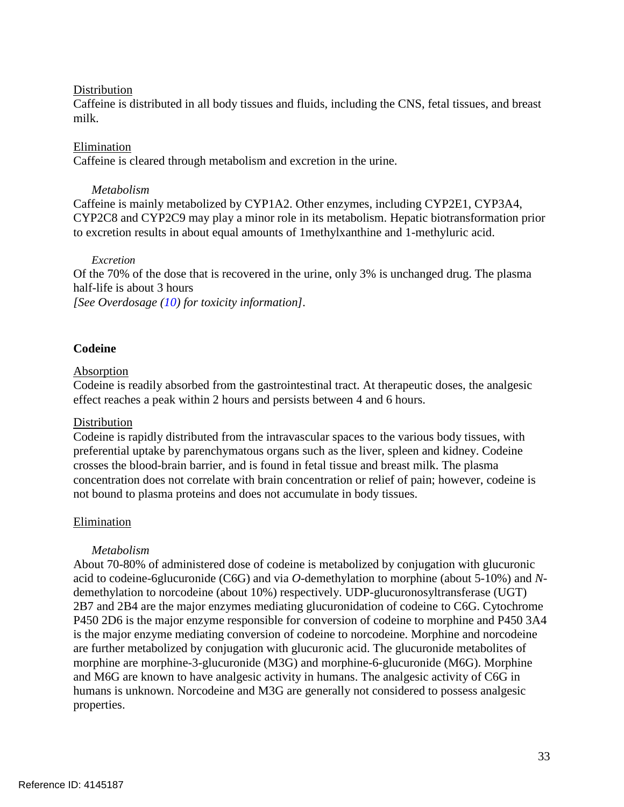#### **Distribution**

Caffeine is distributed in all body tissues and fluids, including the CNS, fetal tissues, and breast milk.

#### Elimination

Caffeine is cleared through metabolism and excretion in the urine.

#### *Metabolism*

 CYP2C8 and CYP2C9 may play a minor role in its metabolism. Hepatic biotransformation prior Caffeine is mainly metabolized by CYP1A2. Other enzymes, including CYP2E1, CYP3A4, to excretion results in about equal amounts of 1methylxanthine and 1-methyluric acid.

#### *Excretion*

Of the 70% of the dose that is recovered in the urine, only 3% is unchanged drug. The plasma half-life is about 3 hours

*[See Overdosage (10) for toxicity information].* 

### **Codeine**

#### Absorption

Codeine is readily absorbed from the gastrointestinal tract. At therapeutic doses, the analgesic effect reaches a peak within 2 hours and persists between 4 and 6 hours.

### Distribution

Codeine is rapidly distributed from the intravascular spaces to the various body tissues, with preferential uptake by parenchymatous organs such as the liver, spleen and kidney. Codeine crosses the blood-brain barrier, and is found in fetal tissue and breast milk. The plasma concentration does not correlate with brain concentration or relief of pain; however, codeine is not bound to plasma proteins and does not accumulate in body tissues.

### Elimination

### *Metabolism*

 About 70-80% of administered dose of codeine is metabolized by conjugation with glucuronic acid to codeine-6glucuronide (C6G) and via *O*-demethylation to morphine (about 5-10%) and *N*demethylation to norcodeine (about 10%) respectively. UDP-glucuronosyltransferase (UGT) 2B7 and 2B4 are the major enzymes mediating glucuronidation of codeine to C6G. Cytochrome P450 2D6 is the major enzyme responsible for conversion of codeine to morphine and P450 3A4 is the major enzyme mediating conversion of codeine to norcodeine. Morphine and norcodeine are further metabolized by conjugation with glucuronic acid. The glucuronide metabolites of morphine are morphine-3-glucuronide (M3G) and morphine-6-glucuronide (M6G). Morphine and M6G are known to have analgesic activity in humans. The analgesic activity of C6G in humans is unknown. Norcodeine and M3G are generally not considered to possess analgesic properties.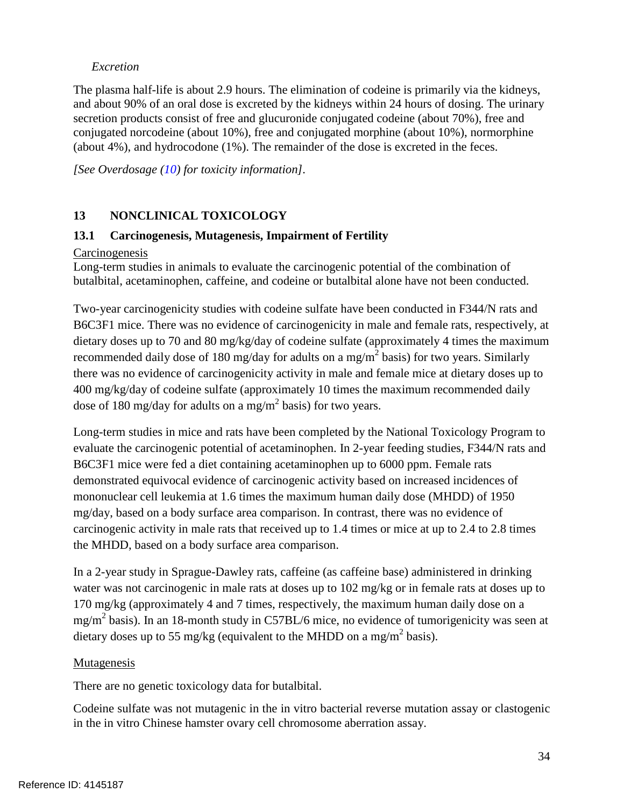## *Excretion*

The plasma half-life is about 2.9 hours. The elimination of codeine is primarily via the kidneys, and about 90% of an oral dose is excreted by the kidneys within 24 hours of dosing. The urinary secretion products consist of free and glucuronide conjugated codeine (about 70%), free and conjugated norcodeine (about 10%), free and conjugated morphine (about 10%), normorphine (about 4%), and hydrocodone (1%). The remainder of the dose is excreted in the feces.

*[See Overdosage (10) for toxicity information].* 

# <span id="page-33-0"></span>**13 NONCLINICAL TOXICOLOGY**

### <span id="page-33-1"></span> **13.1 Carcinogenesis, Mutagenesis, Impairment of Fertility**

#### **Carcinogenesis**

Long-term studies in animals to evaluate the carcinogenic potential of the combination of butalbital, acetaminophen, caffeine, and codeine or butalbital alone have not been conducted.

 dietary doses up to 70 and 80 mg/kg/day of codeine sulfate (approximately 4 times the maximum recommended daily dose of 180 mg/day for adults on a mg/m<sup>2</sup> basis) for two years. Similarly there was no evidence of carcinogenicity activity in male and female mice at dietary doses up to 400 mg/kg/day of codeine sulfate (approximately 10 times the maximum recommended daily dose of 180 mg/day for adults on a mg/m<sup>2</sup> basis) for two years. Two-year carcinogenicity studies with codeine sulfate have been conducted in F344/N rats and B6C3F1 mice. There was no evidence of carcinogenicity in male and female rats, respectively, at

 mononuclear cell leukemia at 1.6 times the maximum human daily dose (MHDD) of 1950 Long-term studies in mice and rats have been completed by the National Toxicology Program to evaluate the carcinogenic potential of acetaminophen. In 2-year feeding studies, F344/N rats and B6C3F1 mice were fed a diet containing acetaminophen up to 6000 ppm. Female rats demonstrated equivocal evidence of carcinogenic activity based on increased incidences of mg/day, based on a body surface area comparison. In contrast, there was no evidence of carcinogenic activity in male rats that received up to 1.4 times or mice at up to 2.4 to 2.8 times the MHDD, based on a body surface area comparison.

 170 mg/kg (approximately 4 and 7 times, respectively, the maximum human daily dose on a dietary doses up to 55 mg/kg (equivalent to the MHDD on a mg/m<sup>2</sup> basis). In a 2-year study in Sprague-Dawley rats, caffeine (as caffeine base) administered in drinking water was not carcinogenic in male rats at doses up to 102 mg/kg or in female rats at doses up to  $mg/m<sup>2</sup>$  basis). In an 18-month study in C57BL/6 mice, no evidence of tumorigenicity was seen at

### Mutagenesis

There are no genetic toxicology data for butalbital.

Codeine sulfate was not mutagenic in the in vitro bacterial reverse mutation assay or clastogenic in the in vitro Chinese hamster ovary cell chromosome aberration assay.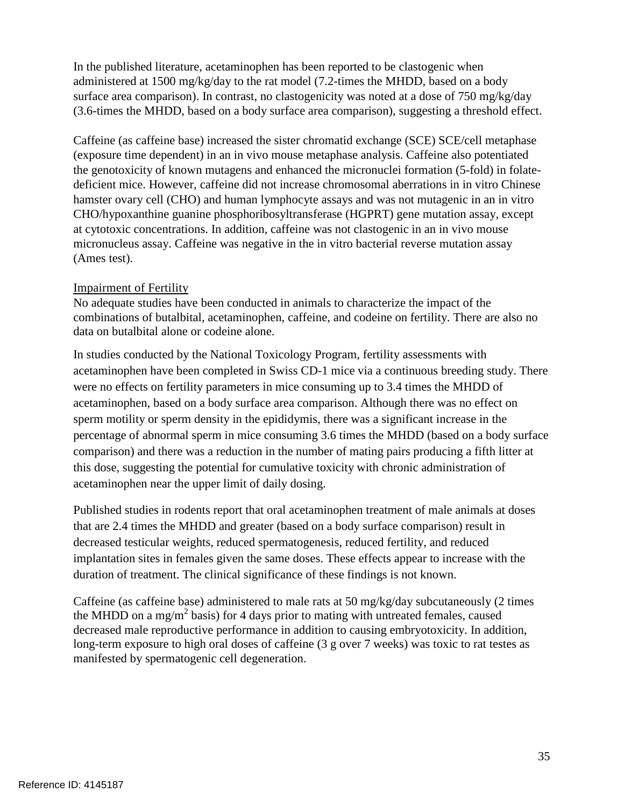In the published literature, acetaminophen has been reported to be clastogenic when administered at 1500 mg/kg/day to the rat model (7.2-times the MHDD, based on a body surface area comparison). In contrast, no clastogenicity was noted at a dose of 750 mg/kg/day (3.6-times the MHDD, based on a body surface area comparison), suggesting a threshold effect.

 CHO/hypoxanthine guanine phosphoribosyltransferase (HGPRT) gene mutation assay, except at cytotoxic concentrations. In addition, caffeine was not clastogenic in an in vivo mouse Caffeine (as caffeine base) increased the sister chromatid exchange (SCE) SCE/cell metaphase (exposure time dependent) in an in vivo mouse metaphase analysis. Caffeine also potentiated the genotoxicity of known mutagens and enhanced the micronuclei formation (5-fold) in folatedeficient mice. However, caffeine did not increase chromosomal aberrations in in vitro Chinese hamster ovary cell (CHO) and human lymphocyte assays and was not mutagenic in an in vitro micronucleus assay. Caffeine was negative in the in vitro bacterial reverse mutation assay (Ames test).

### Impairment of Fertility

 combinations of butalbital, acetaminophen, caffeine, and codeine on fertility. There are also no No adequate studies have been conducted in animals to characterize the impact of the data on butalbital alone or codeine alone.

 percentage of abnormal sperm in mice consuming 3.6 times the MHDD (based on a body surface In studies conducted by the National Toxicology Program, fertility assessments with acetaminophen have been completed in Swiss CD-1 mice via a continuous breeding study. There were no effects on fertility parameters in mice consuming up to 3.4 times the MHDD of acetaminophen, based on a body surface area comparison. Although there was no effect on sperm motility or sperm density in the epididymis, there was a significant increase in the comparison) and there was a reduction in the number of mating pairs producing a fifth litter at this dose, suggesting the potential for cumulative toxicity with chronic administration of acetaminophen near the upper limit of daily dosing.

 that are 2.4 times the MHDD and greater (based on a body surface comparison) result in decreased testicular weights, reduced spermatogenesis, reduced fertility, and reduced Published studies in rodents report that oral acetaminophen treatment of male animals at doses implantation sites in females given the same doses. These effects appear to increase with the duration of treatment. The clinical significance of these findings is not known.

<span id="page-34-0"></span>Caffeine (as caffeine base) administered to male rats at 50 mg/kg/day subcutaneously (2 times the MHDD on a mg/m<sup>2</sup> basis) for 4 days prior to mating with untreated females, caused decreased male reproductive performance in addition to causing embryotoxicity. In addition, long-term exposure to high oral doses of caffeine (3 g over 7 weeks) was toxic to rat testes as manifested by spermatogenic cell degeneration.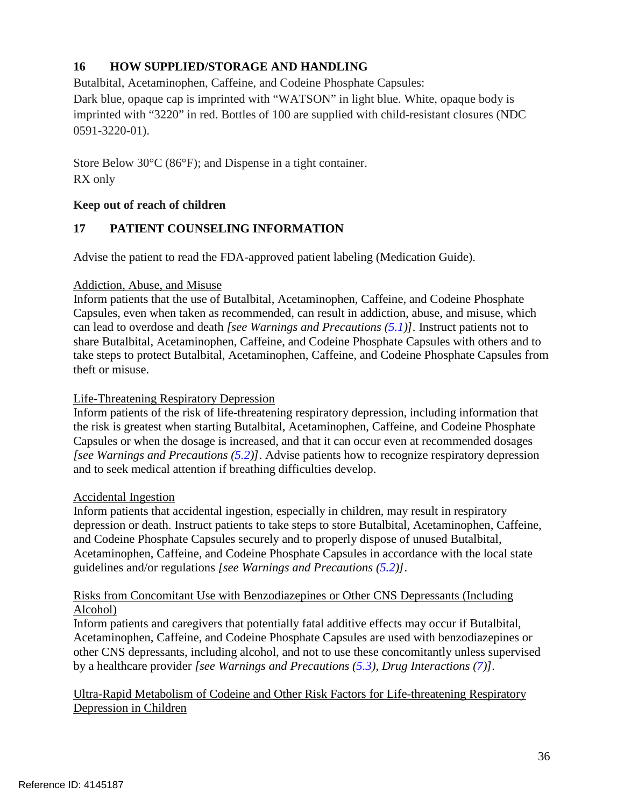# **16 HOW SUPPLIED/STORAGE AND HANDLING**

Butalbital, Acetaminophen, Caffeine, and Codeine Phosphate Capsules:

Dark blue, opaque cap is imprinted with "WATSON" in light blue. White, opaque body is imprinted with "3220" in red. Bottles of 100 are supplied with child-resistant closures (NDC 0591-3220-01).

 Store Below 30°C (86°F); and Dispense in a tight container. RX only

### **Keep out of reach of children**

# <span id="page-35-0"></span>**17 PATIENT COUNSELING INFORMATION**

Advise the patient to read the FDA-approved patient labeling (Medication Guide).

### Addiction, Abuse, and Misuse

 Inform patients that the use of Butalbital, Acetaminophen, Caffeine, and Codeine Phosphate take steps to protect Butalbital, Acetaminophen, Caffeine, and Codeine Phosphate Capsules from Capsules, even when taken as recommended, can result in addiction, abuse, and misuse, which can lead to overdose and death *[see Warnings and Precautions (5.1)].* Instruct patients not to share Butalbital, Acetaminophen, Caffeine, and Codeine Phosphate Capsules with others and to theft or misuse.

### Life-Threatening Respiratory Depression

 Inform patients of the risk of life-threatening respiratory depression, including information that the risk is greatest when starting Butalbital, Acetaminophen, Caffeine, and Codeine Phosphate Capsules or when the dosage is increased, and that it can occur even at recommended dosages *[see Warnings and Precautions (5.2)]*. Advise patients how to recognize respiratory depression and to seek medical attention if breathing difficulties develop.

### Accidental Ingestion

 and Codeine Phosphate Capsules securely and to properly dispose of unused Butalbital, guidelines and/or regulations *[see Warnings and Precautions (5.2)]*. Inform patients that accidental ingestion, especially in children, may result in respiratory depression or death. Instruct patients to take steps to store Butalbital, Acetaminophen, Caffeine, Acetaminophen, Caffeine, and Codeine Phosphate Capsules in accordance with the local state

### Risks from Concomitant Use with Benzodiazepines or Other CNS Depressants (Including Alcohol)

 by a healthcare provider *[see Warnings and Precautions (5.3), Drug Interactions (7)].* Inform patients and caregivers that potentially fatal additive effects may occur if Butalbital, Acetaminophen, Caffeine, and Codeine Phosphate Capsules are used with benzodiazepines or other CNS depressants, including alcohol, and not to use these concomitantly unless supervised

# Ultra-Rapid Metabolism of Codeine and Other Risk Factors for Life-threatening Respiratory Depression in Children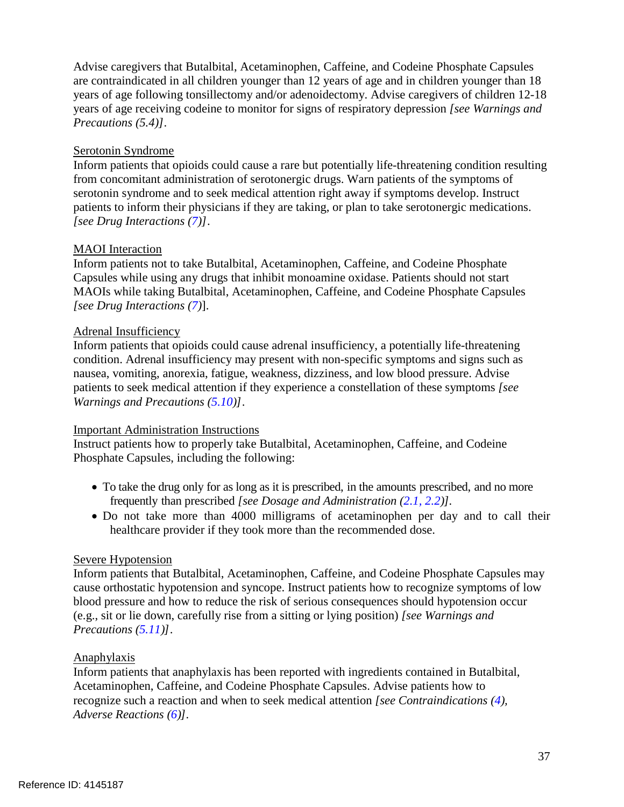Advise caregivers that Butalbital, Acetaminophen, Caffeine, and Codeine Phosphate Capsules are contraindicated in all children younger than 12 years of age and in children younger than 18 years of age following tonsillectomy and/or adenoidectomy. Advise caregivers of children 12-18 years of age receiving codeine to monitor for signs of respiratory depression *[see Warnings and Precautions (5.4)]*.

## Serotonin Syndrome

Inform patients that opioids could cause a rare but potentially life-threatening condition resulting from concomitant administration of serotonergic drugs. Warn patients of the symptoms of serotonin syndrome and to seek medical attention right away if symptoms develop. Instruct patients to inform their physicians if they are taking, or plan to take serotonergic medications. *[see Drug Interactions (7)]*.

### MAOI Interaction

Inform patients not to take Butalbital, Acetaminophen, Caffeine, and Codeine Phosphate Capsules while using any drugs that inhibit monoamine oxidase. Patients should not start MAOIs while taking Butalbital, Acetaminophen, Caffeine, and Codeine Phosphate Capsules *[see Drug Interactions (7)*].

### Adrenal Insufficiency

 Inform patients that opioids could cause adrenal insufficiency, a potentially life-threatening patients to seek medical attention if they experience a constellation of these symptoms *[see*  condition. Adrenal insufficiency may present with non-specific symptoms and signs such as nausea, vomiting, anorexia, fatigue, weakness, dizziness, and low blood pressure. Advise *Warnings and Precautions (5.10)]*.

### Important Administration Instructions

Instruct patients how to properly take Butalbital, Acetaminophen, Caffeine, and Codeine Phosphate Capsules, including the following:

- To take the drug only for as long as it is prescribed, in the amounts prescribed, and no more frequently than prescribed *[see Dosage and Administration (2.1, 2.2)].*
- Do not take more than 4000 milligrams of acetaminophen per day and to call their healthcare provider if they took more than the recommended dose.

### Severe Hypotension

Inform patients that Butalbital, Acetaminophen, Caffeine, and Codeine Phosphate Capsules may cause orthostatic hypotension and syncope. Instruct patients how to recognize symptoms of low blood pressure and how to reduce the risk of serious consequences should hypotension occur (e.g., sit or lie down, carefully rise from a sitting or lying position) *[see Warnings and Precautions (5.11)]*.

### Anaphylaxis

Inform patients that anaphylaxis has been reported with ingredients contained in Butalbital, Acetaminophen, Caffeine, and Codeine Phosphate Capsules. Advise patients how to recognize such a reaction and when to seek medical attention *[see Contraindications (4), Adverse Reactions (6)].*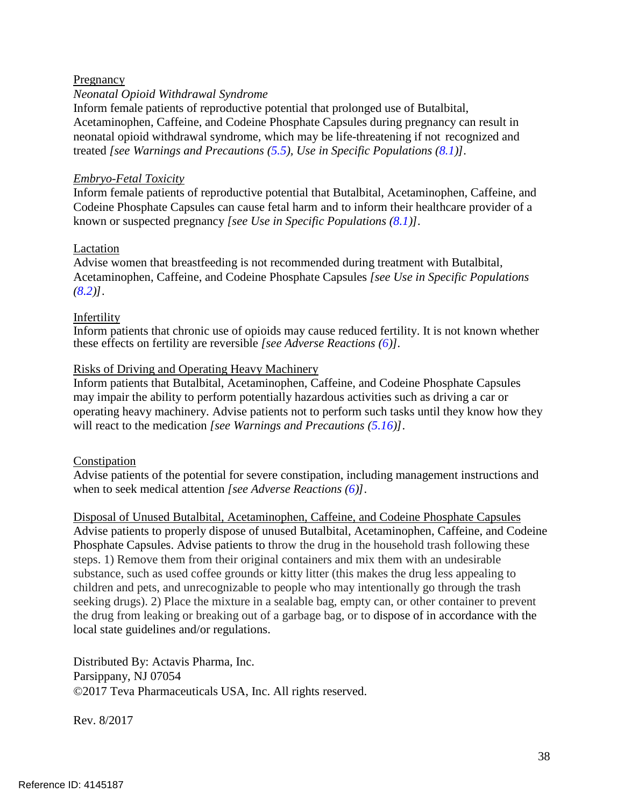### Pregnancy

### *Neonatal Opioid Withdrawal Syndrome*

 neonatal opioid withdrawal syndrome, which may be life-threatening if not recognized and Inform female patients of reproductive potential that prolonged use of Butalbital, Acetaminophen, Caffeine, and Codeine Phosphate Capsules during pregnancy can result in treated *[see Warnings and Precautions (5.5), Use in Specific Populations (8.1)].* 

#### *Embryo-Fetal Toxicity*

Inform female patients of reproductive potential that Butalbital, Acetaminophen, Caffeine, and Codeine Phosphate Capsules can cause fetal harm and to inform their healthcare provider of a known or suspected pregnancy *[see Use in Specific Populations (8.1)].*

#### Lactation

Advise women that breastfeeding is not recommended during treatment with Butalbital, Acetaminophen, Caffeine, and Codeine Phosphate Capsules *[see Use in Specific Populations (8.2)]*.

#### Infertility

Inform patients that chronic use of opioids may cause reduced fertility. It is not known whether these effects on fertility are reversible *[see Adverse Reactions (6)].* 

### Risks of Driving and Operating Heavy Machinery

Inform patients that Butalbital, Acetaminophen, Caffeine, and Codeine Phosphate Capsules may impair the ability to perform potentially hazardous activities such as driving a car or operating heavy machinery. Advise patients not to perform such tasks until they know how they will react to the medication *[see Warnings and Precautions (5.16)]*.

#### Constipation

Advise patients of the potential for severe constipation, including management instructions and when to seek medical attention *[see Adverse Reactions (6)]*.

 seeking drugs). 2) Place the mixture in a sealable bag, empty can, or other container to prevent Disposal of Unused Butalbital, Acetaminophen, Caffeine, and Codeine Phosphate Capsules Advise patients to properly dispose of unused Butalbital, Acetaminophen, Caffeine, and Codeine Phosphate Capsules. Advise patients to throw the drug in the household trash following these steps. 1) Remove them from their original containers and mix them with an undesirable substance, such as used coffee grounds or kitty litter (this makes the drug less appealing to children and pets, and unrecognizable to people who may intentionally go through the trash the drug from leaking or breaking out of a garbage bag, or to dispose of in accordance with the local state guidelines and/or regulations.

Distributed By: Actavis Pharma, Inc. Parsippany, NJ 07054 ©2017 Teva Pharmaceuticals USA, Inc. All rights reserved.

Rev. 8/2017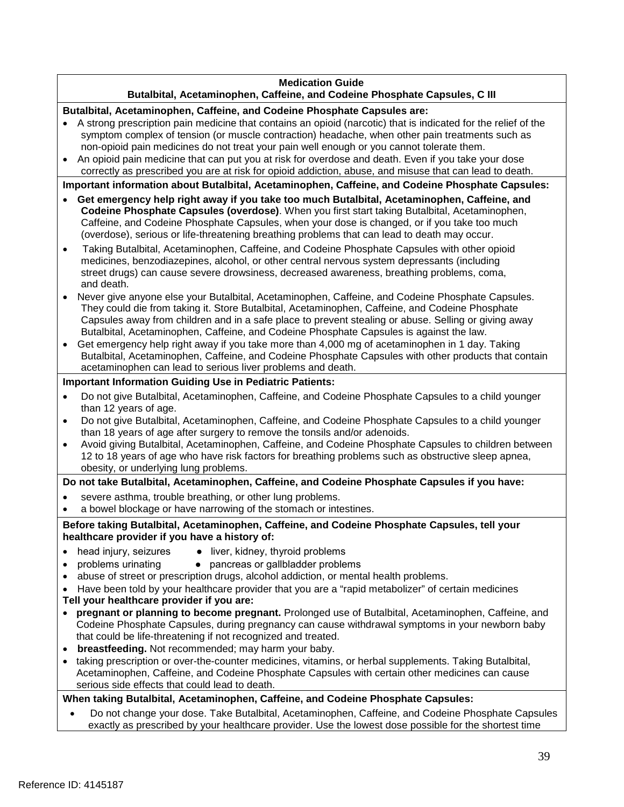#### **Medication Guide**

### **Butalbital, Acetaminophen, Caffeine, and Codeine Phosphate Capsules, C III**

#### **Butalbital, Acetaminophen, Caffeine, and Codeine Phosphate Capsules are:**

- symptom complex of tension (or muscle contraction) headache, when other pain treatments such as • A strong prescription pain medicine that contains an opioid (narcotic) that is indicated for the relief of the non-opioid pain medicines do not treat your pain well enough or you cannot tolerate them.
- • An opioid pain medicine that can put you at risk for overdose and death. Even if you take your dose correctly as prescribed you are at risk for opioid addiction, abuse, and misuse that can lead to death.

**Important information about Butalbital, Acetaminophen, Caffeine, and Codeine Phosphate Capsules:** 

- Caffeine, and Codeine Phosphate Capsules, when your dose is changed, or if you take too much • **Get emergency help right away if you take too much Butalbital, Acetaminophen, Caffeine, and Codeine Phosphate Capsules (overdose)**. When you first start taking Butalbital, Acetaminophen, (overdose), serious or life-threatening breathing problems that can lead to death may occur.
- Taking Butalbital, Acetaminophen, Caffeine, and Codeine Phosphate Capsules with other opioid medicines, benzodiazepines, alcohol, or other central nervous system depressants (including street drugs) can cause severe drowsiness, decreased awareness, breathing problems, coma, and death.
- Never give anyone else your Butalbital, Acetaminophen, Caffeine, and Codeine Phosphate Capsules. They could die from taking it. Store Butalbital, Acetaminophen, Caffeine, and Codeine Phosphate Capsules away from children and in a safe place to prevent stealing or abuse. Selling or giving away Butalbital, Acetaminophen, Caffeine, and Codeine Phosphate Capsules is against the law.
- • Get emergency help right away if you take more than 4,000 mg of acetaminophen in 1 day. Taking Butalbital, Acetaminophen, Caffeine, and Codeine Phosphate Capsules with other products that contain acetaminophen can lead to serious liver problems and death.

#### **Important Information Guiding Use in Pediatric Patients:**

- • Do not give Butalbital, Acetaminophen, Caffeine, and Codeine Phosphate Capsules to a child younger than 12 years of age.
- • Do not give Butalbital, Acetaminophen, Caffeine, and Codeine Phosphate Capsules to a child younger than 18 years of age after surgery to remove the tonsils and/or adenoids.
- Avoid giving Butalbital, Acetaminophen, Caffeine, and Codeine Phosphate Capsules to children between 12 to 18 years of age who have risk factors for breathing problems such as obstructive sleep apnea, obesity, or underlying lung problems.

#### **Do not take Butalbital, Acetaminophen, Caffeine, and Codeine Phosphate Capsules if you have:**

- severe asthma, trouble breathing, or other lung problems.
- a bowel blockage or have narrowing of the stomach or intestines.

**Before taking Butalbital, Acetaminophen, Caffeine, and Codeine Phosphate Capsules, tell your healthcare provider if you have a history of:** 

- head injury, seizures
- problems urinating • pancreas or gallbladder problems

• liver, kidney, thyroid problems

- abuse of street or prescription drugs, alcohol addiction, or mental health problems.
- Have been told by your healthcare provider that you are a "rapid metabolizer" of certain medicines
- **Tell your healthcare provider if you are:**
- **pregnant or planning to become pregnant.** Prolonged use of Butalbital, Acetaminophen, Caffeine, and Codeine Phosphate Capsules, during pregnancy can cause withdrawal symptoms in your newborn baby that could be life-threatening if not recognized and treated.
- **breastfeeding.** Not recommended; may harm your baby.
- • taking prescription or over-the-counter medicines, vitamins, or herbal supplements. Taking Butalbital, Acetaminophen, Caffeine, and Codeine Phosphate Capsules with certain other medicines can cause serious side effects that could lead to death.

#### **When taking Butalbital, Acetaminophen, Caffeine, and Codeine Phosphate Capsules:**

• Do not change your dose. Take Butalbital, Acetaminophen, Caffeine, and Codeine Phosphate Capsules exactly as prescribed by your healthcare provider. Use the lowest dose possible for the shortest time